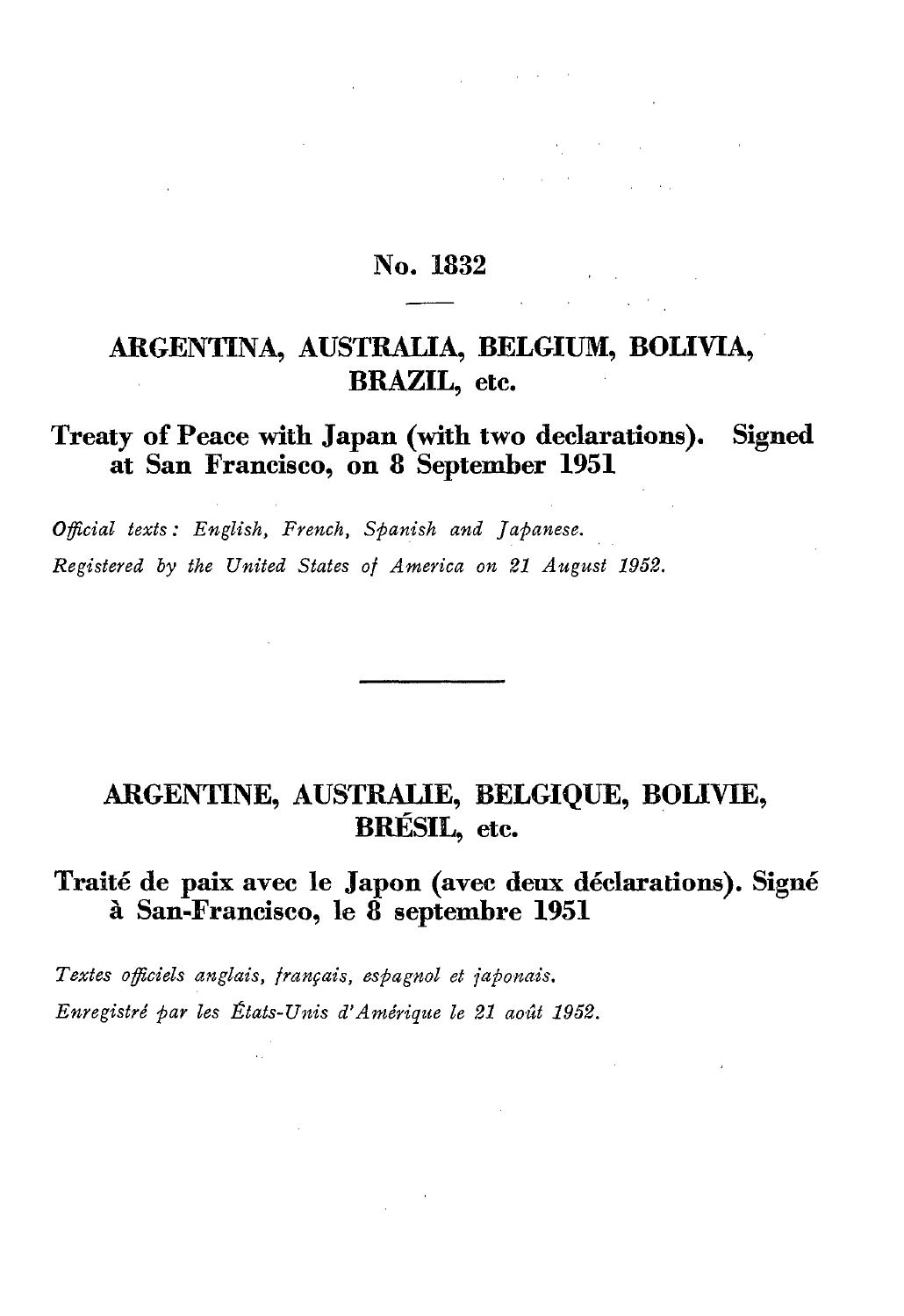## No. 1832

 $\mathcal{L}_{\mathcal{L}}$  and  $\mathcal{L}_{\mathcal{L}}$  are the set of the set of the set of  $\mathcal{L}_{\mathcal{L}}$ 

 $\mathcal{O}(\mathcal{A})$  and  $\mathcal{O}(\mathcal{A})$  and  $\mathcal{O}(\mathcal{A})$  and  $\mathcal{O}(\mathcal{A})$  and  $\mathcal{O}(\mathcal{A})$ 

 $\mathcal{A}^{\mathcal{A}}$  and  $\mathcal{A}^{\mathcal{A}}$  are  $\mathcal{A}^{\mathcal{A}}$  . In the contribution of  $\mathcal{A}^{\mathcal{A}}$ 

# **ARGENTINA, AUSTRALIA, BELGIUM, BOLIVIA, BRAZIL, etc.**

## **Treaty of Peace with Japan (with two declarations). Signed at San Francisco, on 8 September 1951**

*Official texts : English, French, Spanish and Japanese. Registered by the United States of America on 21 August 1952.*

## ARGENTINE, AUSTRALIE, **BELGIQUE, BOLIVIE, BRÉSIL, etc.**

## **Traité de paix avec le Japon (avec deux déclarations). Signé à San-Francisco, le 8 septembre 1951**

*Textes officiels anglais, français, espagnol et japonais. Enregistré par les États-Unis d'Amérique le 21 août 1952.*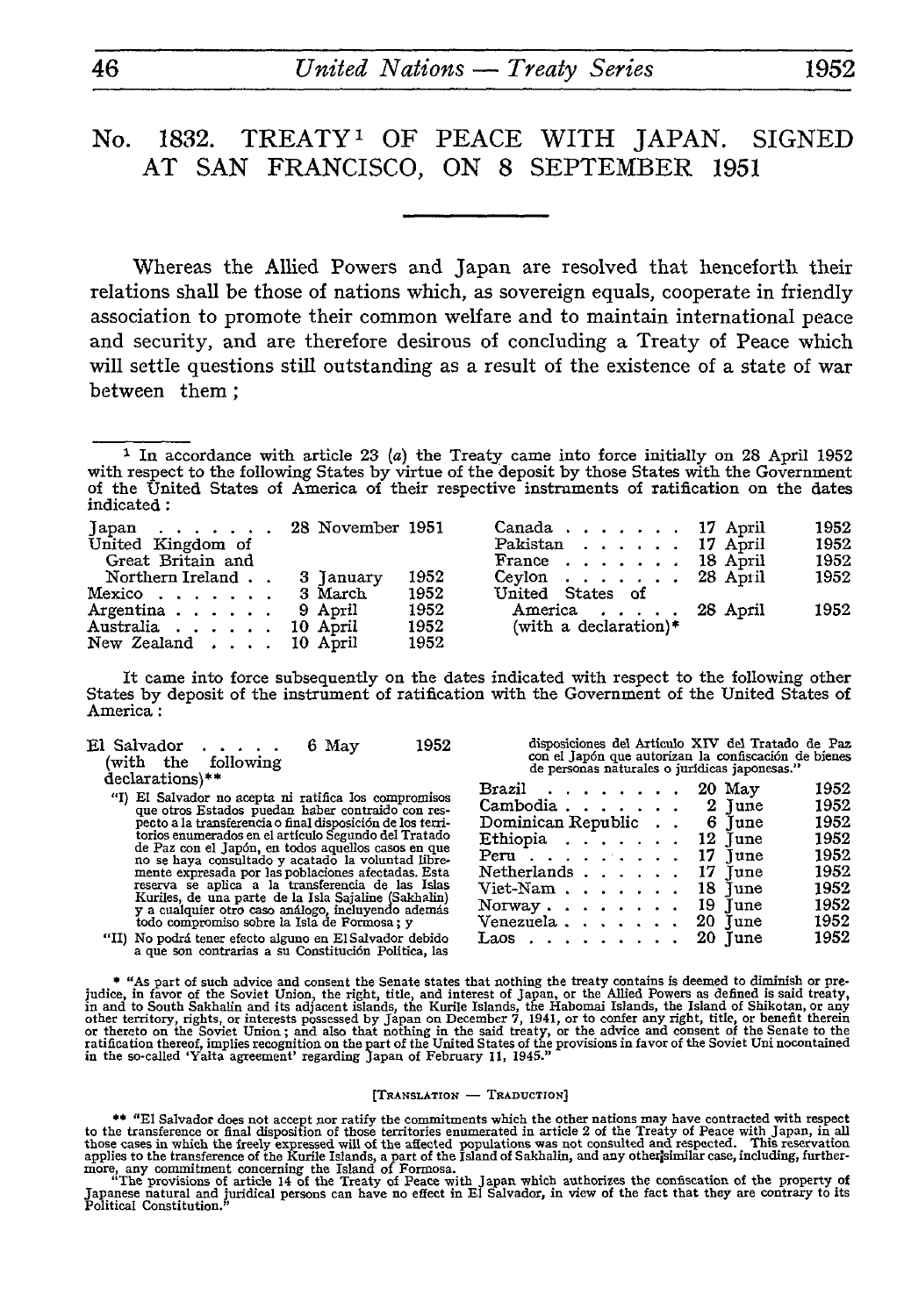## No. 1832. TREATY<sup>1</sup> OF PEACE WITH JAPAN. SIGNED AT SAN FRANCISCO, ON 8 SEPTEMBER 1951

Whereas the Allied Powers and Japan are resolved that henceforth their relations shall be those of nations which, as sovereign equals, cooperate in friendly association to promote their common welfare and to maintain international peace and security, and are therefore desirous of concluding a Treaty of Peace which will settle questions still outstanding as a result of the existence of a state of war between them ;

<sup>&</sup>lt;sup>1</sup> In accordance with article 23 (a) the Treaty came into force initially on 28 April 1952 with respect to the following States by virtue of the deposit by those States with the Government of the United States of America of their respective instruments of ratification on the dates<br>
indicated:<br>
Japan ...... 28 November 1951 Canada ....... 17 April 1952<br>
United Kingdom of Pakistan ...... 17 April 1952 indicated :

| indicated:                                                                                               |           |                                                                                          |                      |
|----------------------------------------------------------------------------------------------------------|-----------|------------------------------------------------------------------------------------------|----------------------|
| Japan $\ldots$ $\ldots$ 28 November 1951<br>United Kingdom of<br>Great Britain and                       |           | Canada 17 April<br>Pakistan 17 April<br>France 18 April                                  | 1952<br>1952<br>1952 |
| ${\rm Northern~I$ reland ${\rm .}$ .                                                                     | 3 January | 1952<br>Ceylon $\ldots$ $\ldots$ 28 April                                                | 1952                 |
| Mexico 3 March<br>$\text{Argentina} \cdot \cdot \cdot \cdot \cdot 9 \text{ April}$<br>Australia 10 April |           | United States of<br>1952<br>1952<br>America 28 April<br>(with a declaration) $*$<br>1952 | 1952                 |
| New Zealand 10 April                                                                                     |           | 1952                                                                                     |                      |

It came into force subsequently on the dates indicated with respect to the following other States by deposit of the instrument of ratification with the Government of the United States of America :

| дшегіса :                                                                                                                                                                                                                                                                                                                                                                                                                                                                                                                                                                                                                                                          |                                                                                                                                                                                                                                                                                                                                                                                                                                                                        |
|--------------------------------------------------------------------------------------------------------------------------------------------------------------------------------------------------------------------------------------------------------------------------------------------------------------------------------------------------------------------------------------------------------------------------------------------------------------------------------------------------------------------------------------------------------------------------------------------------------------------------------------------------------------------|------------------------------------------------------------------------------------------------------------------------------------------------------------------------------------------------------------------------------------------------------------------------------------------------------------------------------------------------------------------------------------------------------------------------------------------------------------------------|
| 1952<br>El Salvador   .   .   .   .<br>6 May<br>(with the following)<br>declarations)**<br>"I) El Salvador no acepta ni ratifica los compromisos<br>que otros Estados puedan haber contraido con res-<br>pecto a la transferencia o final disposición de los terri-<br>torios enumerados en el artículo Segundo del Tratado<br>de Paz con el Japón, en todos aquellos casos en que<br>no se haya consultado y acatado la voluntad libre-<br>mente expresada por las poblaciones afectadas. Esta<br>reserva se aplica a la transferencia de las Islas<br>Kuriles, de una parte de la Isla Sajaline (Sakhalin)<br>y a cualquier otro caso análogo, incluyendo además | disposiciones del Artículo XIV del Tratado de Paz<br>con el Japón que autorizan la confiscación de bienes<br>de personas naturales o jurídicas japonesas."<br>1952<br>Brazil $\cdots$<br>20 May<br>1952<br>$Cambodia \ldots \ldots$<br>2 June<br>1952<br>Dominican Republic<br>6 June<br>1952<br>Ethiopia<br>12 June<br>1952<br>$Peru$<br>17 June<br>1952<br>Netherlands<br>17 June<br>1952<br>$\mathrm{Viet\text{-}Nam}$<br>$18$ $\mu$ ne<br>1952<br>Norway $19$ June |
| todo compromiso sobre la Isla de Formosa; y                                                                                                                                                                                                                                                                                                                                                                                                                                                                                                                                                                                                                        | 1952<br>Venezuela $20$ June                                                                                                                                                                                                                                                                                                                                                                                                                                            |
| "II) No podrá tener efecto alguno en El Salvador debido<br>a que son contrarias a su Constitución Política, las                                                                                                                                                                                                                                                                                                                                                                                                                                                                                                                                                    | 1952<br>Laos 20 June                                                                                                                                                                                                                                                                                                                                                                                                                                                   |
|                                                                                                                                                                                                                                                                                                                                                                                                                                                                                                                                                                                                                                                                    |                                                                                                                                                                                                                                                                                                                                                                                                                                                                        |

\* "As part of such advice and consent the Senate states that nothing the treaty contains is deemed to diminish or prejudice, in favor of the Soviet Union, the right, title, and interest of Japan, or the Allied Powers as de

#### [TRANSLATION - TRADUCTION]

**\*\*** "El Salvador does not accept nor ratify the commitments which the other nations may have contracted with respect to the transference or final disposition of those territories enumerated in article 2 of the Treaty of P

Political Constitution."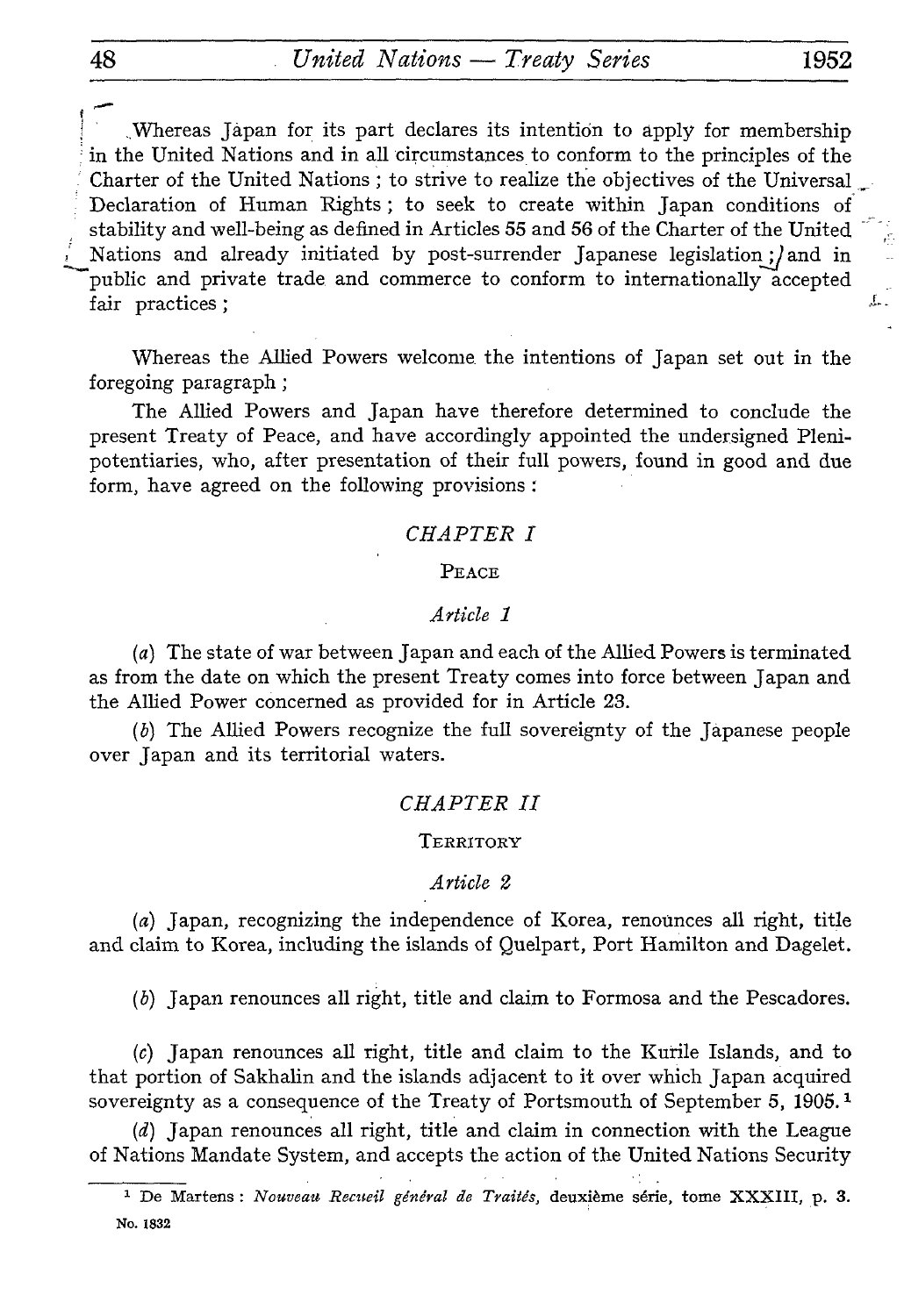Whereas Japan for its part declares its intention to apply for membership : in the United Nations and in all circumstances to conform to the principles of the Charter of the United Nations ; to strive to realize the objectives of the Universal Declaration of Human Rights ; to seek to create within Japan conditions of stability and well-being as defined in Articles 55 and 56 of the Charter of the United Nations and already initiated by post-surrender Japanese legislation ;/and in public and private trade and commerce to conform to internationally accepted fair practices ;

Whereas the Allied Powers welcome the intentions of Japan set out in the foregoing paragraph ;

The Allied Powers and Japan have therefore determined to conclude the present Treaty of Peace, and have accordingly appointed the undersigned Pleni potentiaries, who, after presentation of their full powers, found in good and due form, have agreed on the following provisions :

#### *CHAPTER I*

#### PEACE

#### *Article 1*

*(a)* The state of war between Japan and each of the Allied Powers is terminated as from the date on which the present Treaty comes into force between Japan and the Allied Power concerned as provided for in Article 23.

*(b)* The Allied Powers recognize the full sovereignty of the Japanese people over Japan and its territorial waters.

#### *CHAPTER II*

#### **TERRITORY**

#### *Article 2*

*(a)* Japan, recognizing the independence of Korea, renounces all right, title and claim to Korea, including the islands of Quelpart, Port Hamilton and Dagelet.

*(b)* Japan renounces all right, title and claim to Formosa and the Pescadores.

(c) Japan renounces all right, title and claim to the Kurile Islands, and to that portion of Sakhalin and the islands adjacent to it over which Japan acquired sovereignty as a consequence of the Treaty of Portsmouth of September 5, 1905.<sup>1</sup>

*(d)* Japan renounces all right, title and claim in connection with the League of Nations Mandate System, and accepts the action of the United Nations Security

s.,

<sup>&</sup>lt;sup>1</sup> De Martens : *Nouveau Recueil général de Traités*, deuxième série, tome XXXIII, p. 3. No. 1832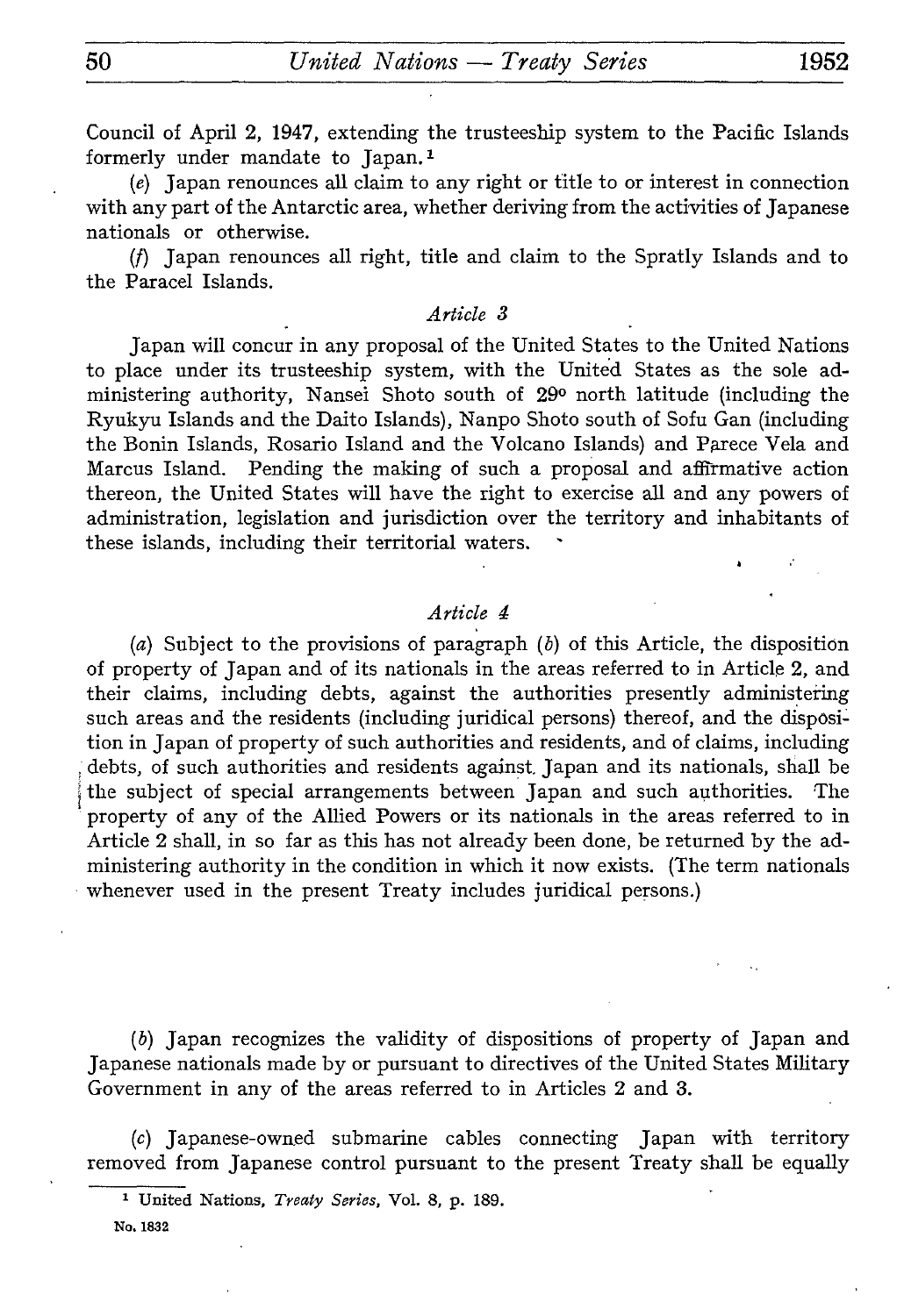Council of April 2, 1947, extending the trusteeship system to the Pacific Islands formerly under mandate to Japan. <sup>1</sup>

*(e)* Japan renounces all claim to any right or title to or interest in connection with any part of the Antarctic area, whether deriving from the activities of Japanese nationals or otherwise.

(/) Japan renounces all right, title and claim to the Spratly Islands and to the Paracel Islands.

#### *Article 3*

Japan will concur in any proposal of the United States to the United Nations to place under its trusteeship system, with the United States as the sole ad ministering authority, Nansei Shoto south of 29° north latitude (including the Ryukyu Islands and the Daito Islands), Nanpo Shoto south of Sofu Gan (including the Bonin Islands, Rosario Island and the Volcano Islands) and Parece Vela and Marcus Island. Pending the making of such a proposal and affirmative action thereon, the United States will have the right to exercise all and any powers of administration, legislation and jurisdiction over the territory and inhabitants of these islands, including their territorial waters.

#### *Article 4*

(a) Subject to the provisions of paragraph (b) of this Article, the disposition of property of Japan and of its nationals in the areas referred to in Article 2, and their claims, including debts, against the authorities presently administering such areas and the residents (including juridical persons) thereof, and the disposi tion in Japan of property of such authorities and residents, and of claims, including debts, of such authorities and residents against. Japan and its nationals, shall be | the subject of special arrangements between Japan and such authorities. The property of any of the Allied Powers or its nationals in the areas referred to in Article 2 shall, in so far as this has not already been done, be returned by the ad ministering authority in the condition in which it now exists. (The term nationals whenever used in the present Treaty includes juridical persons.)

*(b)* Japan recognizes the validity of dispositions of property of Japan and Japanese nationals made by or pursuant to directives of the United States Military Government in any of the areas referred to in Articles 2 and 3.

(c) Japanese-owned submarine cables connecting Japan with territory removed from Japanese control pursuant to the present Treaty shall be equally

\*

<sup>1</sup> United Nations, *Treaty Series,* Vol. 8, p. 189.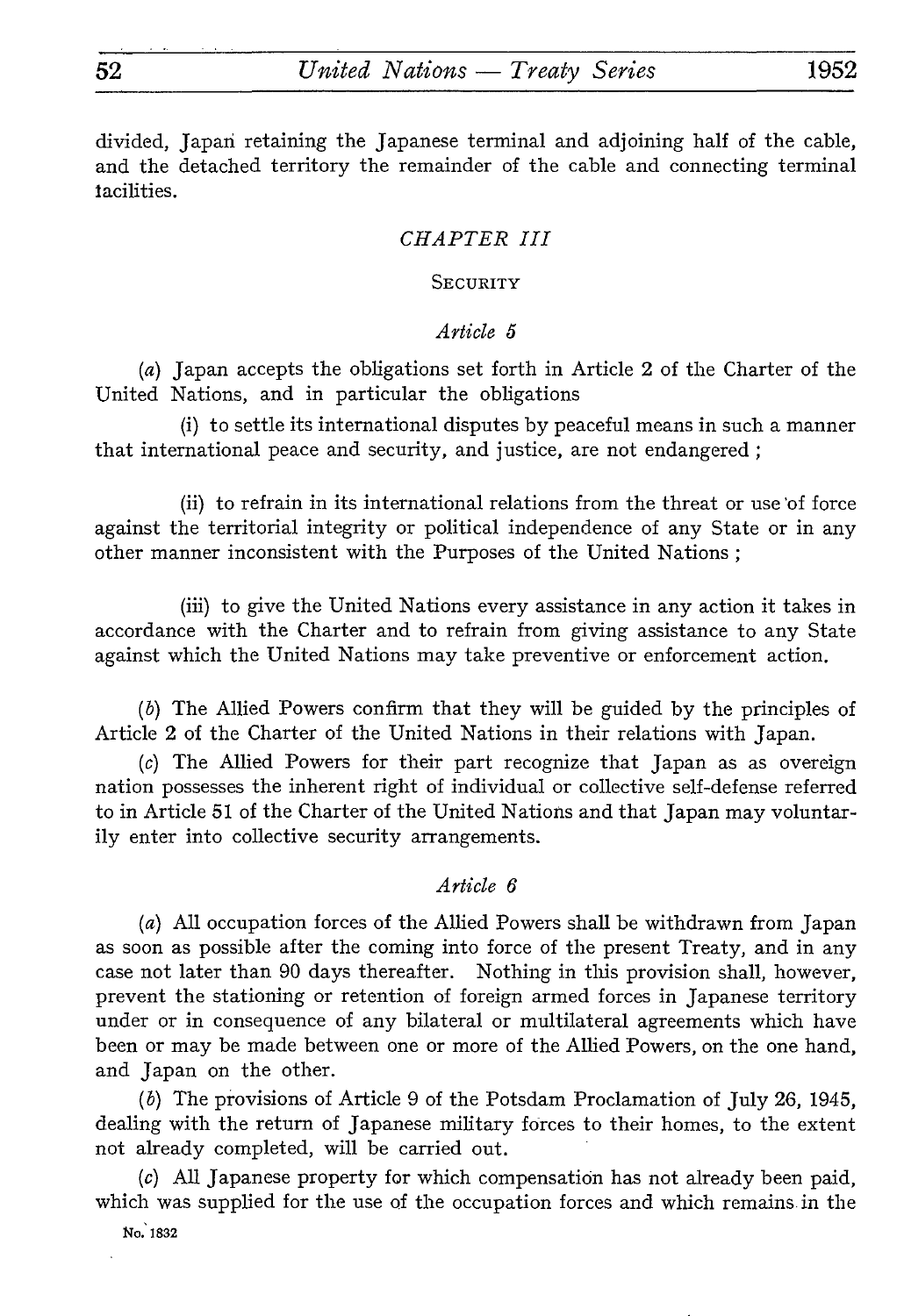divided, Japan retaining the Japanese terminal and adjoining half of the cable, and the detached territory the remainder of the cable and connecting terminal lacilities.

### *CHAPTER III*

#### **SECURITY**

#### *Article 5*

*(a)* Japan accepts the obligations set forth in Article 2 of the Charter of the United Nations, and in particular the obligations

(i) to settle its international disputes by peaceful means in such a manner that international peace and security, and justice, are not endangered ;

(ii) to refrain in its international relations from the threat or use 'of force against the territorial integrity or political independence of any State or in any other manner inconsistent with the Purposes of the United Nations ;

(iii) to give the United Nations every assistance in any action it takes in accordance with the Charter and to refrain from giving assistance to any State against which the United Nations may take preventive or enforcement action.

*(b)* The Allied Powers confirm that they will be guided by the principles of Article 2 of the Charter of the United Nations in their relations with Japan.

*(c)* The Allied Powers for their part recognize that Japan as as overeign nation possesses the inherent right of individual or collective self-defense referred to in Article 51 of the Charter of the United Nations and that Japan may voluntar ily enter into collective security arrangements.

### *Article 6*

*(a)* All occupation forces of the Allied Powers shall be withdrawn from Japan as soon as possible after the coming into force of the present Treaty, and in any case not later than 90 days thereafter. Nothing in this provision shall, however, prevent the stationing or retention of foreign armed forces in Japanese territory under or in consequence of any bilateral or multilateral agreements which have been or may be made between one or more of the Allied Powers, on the one hand, and Japan on the other.

*(b)* The provisions of Article 9 of the Potsdam Proclamation of July 26, 1945, dealing with the return of Japanese military forces to their homes, to the extent not already completed, will be carried out.

*(c)* All Japanese property for which compensation has not already been paid, which was supplied for the use of the occupation forces and which remains in the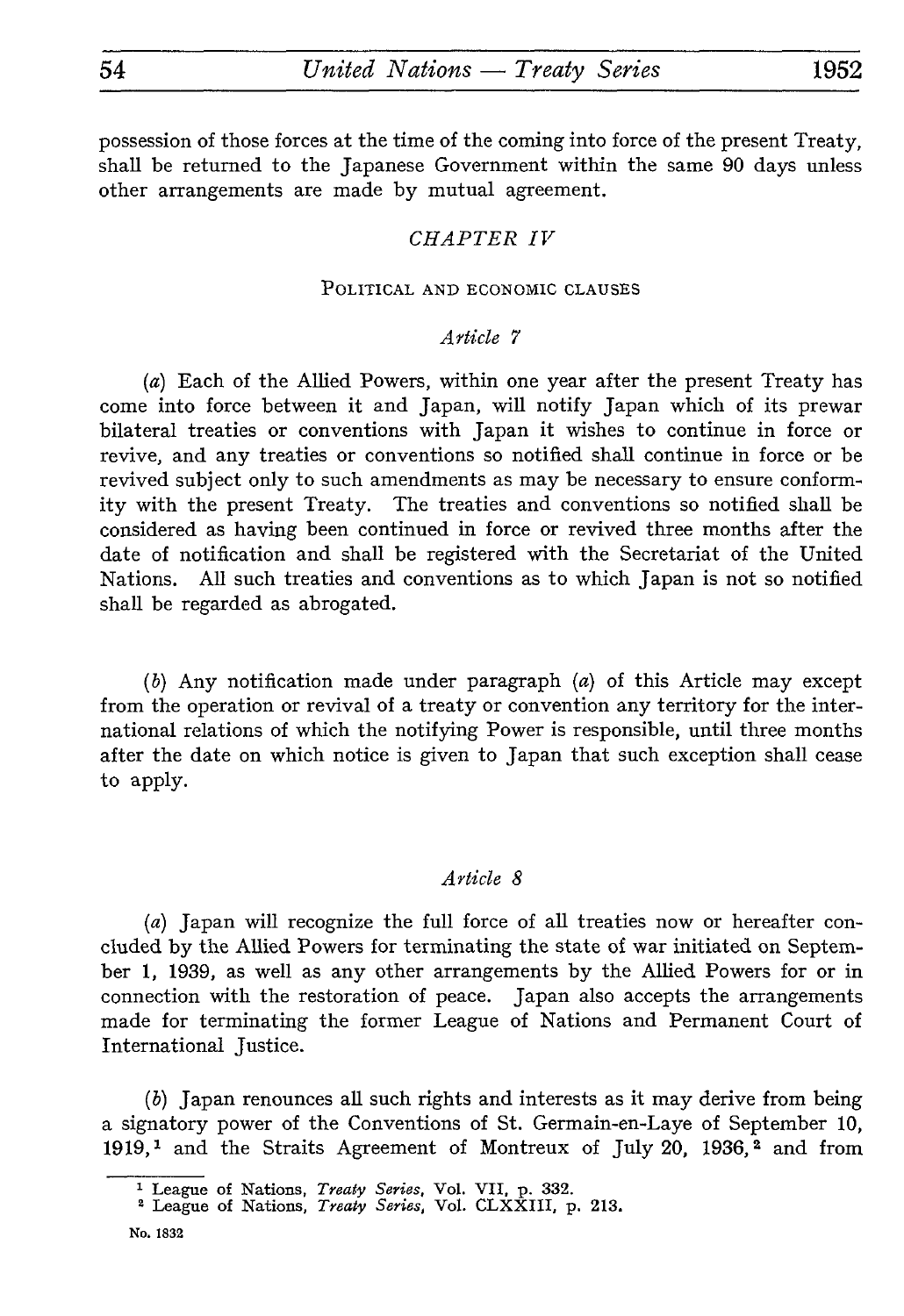possession of those forces at the time of the coming into force of the present Treaty, shall be returned to the Japanese Government within the same 90 days unless other arrangements are made by mutual agreement.

#### *CHAPTER IV*

#### POLITICAL AND ECONOMIC CLAUSES

#### *Article 7*

*(a)* Each of the Allied Powers, within one year after the present Treaty has come into force between it and Japan, will notify Japan which of its prewar bilateral treaties or conventions with Japan it wishes to continue in force or revive, and any treaties or conventions so notified shall continue in force or be revived subject only to such amendments as may be necessary to ensure conform ity with the present Treaty. The treaties and conventions so notified shall be considered as having been continued in force or revived three months after the date of notification and shall be registered with the Secretariat of the United Nations. All such treaties and conventions as to which Japan is not so notified shall be regarded as abrogated.

*(b)* Any notification made under paragraph *(a)* of this Article may except from the operation or revival of a treaty or convention any territory for the inter national relations of which the notifying Power is responsible, until three months after the date on which notice is given to Japan that such exception shall cease to apply.

#### *Article 8*

*(a)* Japan will recognize the full force of all treaties now or hereafter con cluded by the Allied Powers for terminating the state of war initiated on Septem ber 1, 1939, as well as any other arrangements by the Allied Powers for or in connection with the restoration of peace. Japan also accepts the arrangements made for terminating the former League of Nations and Permanent Court of International Justice.

*(b)* Japan renounces all such rights and interests as it may derive from being a signatory power of the Conventions of St. Germain-en-Laye of September 10, 1919,<sup>1</sup> and the Straits Agreement of Montreux of July 20, 1936,<sup>2</sup> and from

<sup>1</sup> League of Nations, *Treaty Series,* Vol. VII, p. 332. 8 League of Nations, *Treaty Series,* Vol. CLXXIII, p. 213.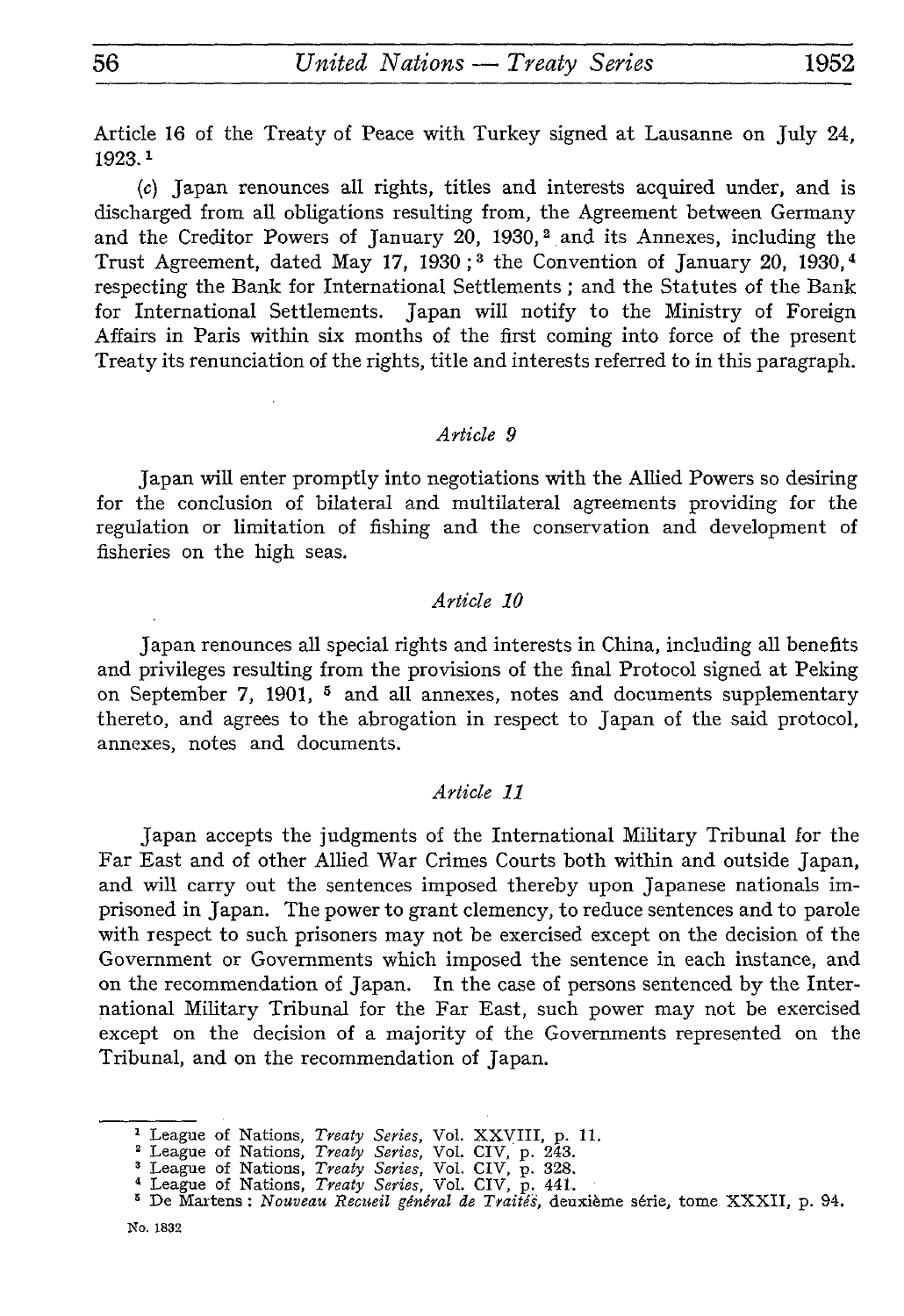Article 16 of the Treaty of Peace with Turkey signed at Lausanne on July 24, 1923. *<sup>1</sup>*

*(c)* Japan renounces all rights, titles and interests acquired under, and is discharged from all obligations resulting from, the Agreement between Germany and the Creditor Powers of January 20, 1930, 2 and its Annexes, including the Trust Agreement, dated May 17, 1930;<sup>3</sup> the Convention of January 20, 1930,<sup>4</sup> respecting the Bank for International Settlements ; and the Statutes of the Bank for International Settlements. Japan will notify to the Ministry of Foreign Affairs in Paris within six months of the first coming into force of the present Treaty its renunciation of the rights, title and interests referred to in this paragraph.

#### *Article 9*

Japan will enter promptly into negotiations with the Allied Powers so desiring for the conclusion of bilateral and multilateral agreements providing for the regulation or limitation of fishing and the conservation and development of fisheries on the high seas.

#### *Article 10*

Japan renounces all special rights and interests in China, including all benefits and privileges resulting from the provisions of the final Protocol signed at Peking on September 7, 1901, 5 and all annexes, notes and documents supplementary thereto, and agrees to the abrogation in respect to Japan of the said protocol, annexes, notes and documents.

#### *Article 11*

Japan accepts the judgments of the International Military Tribunal for the Far East and of other Allied War Crimes Courts both within and outside Japan, and will carry out the sentences imposed thereby upon Japanese nationals im prisoned in Japan. The power to grant clemency, to reduce sentences and to parole with respect to such prisoners may not be exercised except on the decision of the Government or Governments which imposed the sentence in each instance, and on the recommendation of Japan. In the case of persons sentenced by the Inter national Military Tribunal for the Far East, such power may not be exercised except on the decision of a majority of the Governments represented on the Tribunal, and on the recommendation of Japan.

<sup>&</sup>lt;sup>1</sup> League of Nations, *Treaty Series*, Vol. XXVIII, p. 11.<br><sup>2</sup> League of Nations, *Treaty Series*, Vol. CIV, p. 243.<br><sup>3</sup> League of Nations, *Treaty Series*, Vol. CIV, p. 328.<br><sup>4</sup> League of Nations, *Treaty Series*, Vol. C

<sup>&</sup>lt;sup>8</sup> De Martens : *Nouveau Recueil général de Traités*, deuxième série, tome XXXII, p. 94.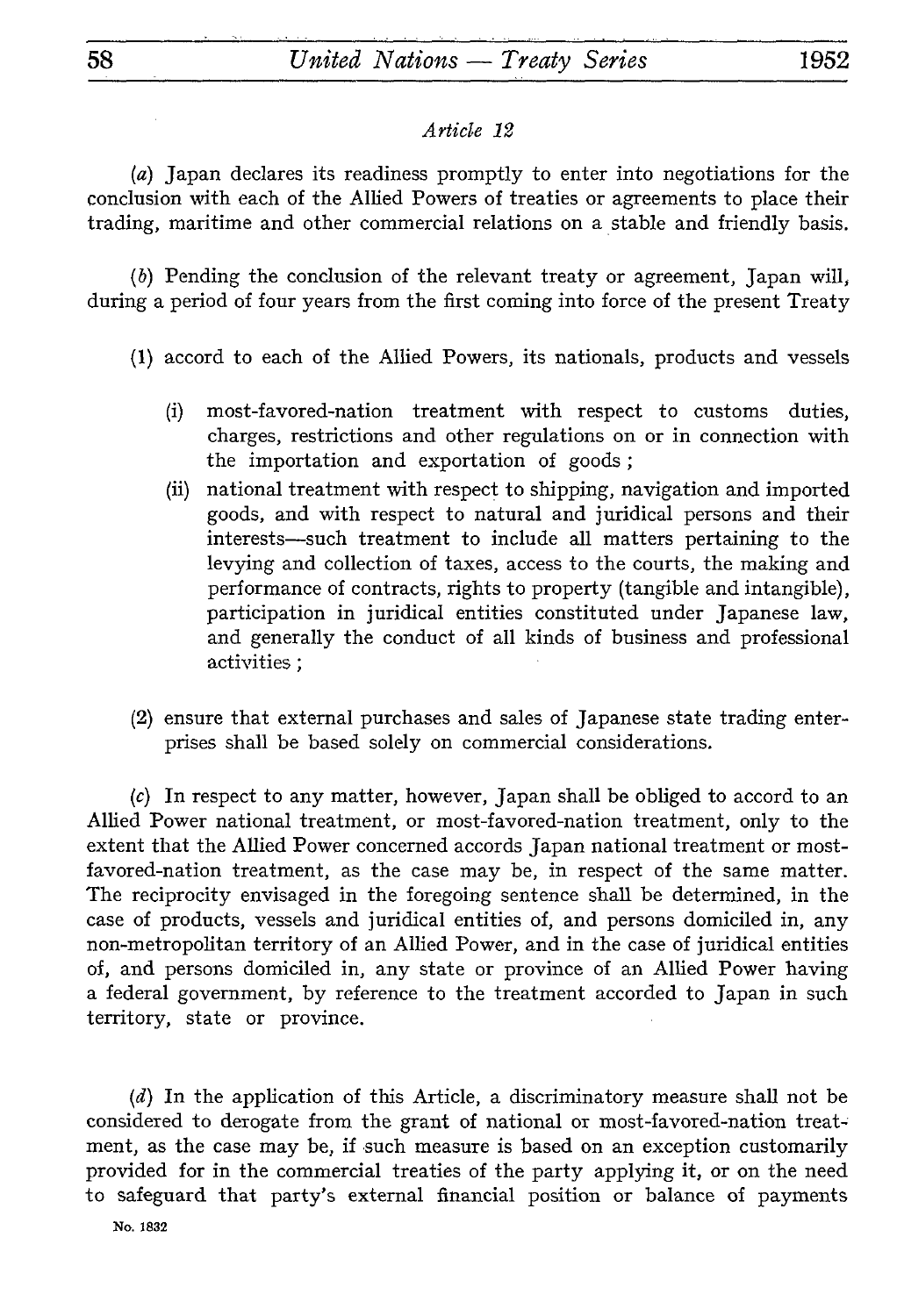#### *Article 12*

*(a)* Japan declares its readiness promptly to enter into negotiations for the conclusion with each of the Allied Powers of treaties or agreements to place their trading, maritime and other commercial relations on a stable and friendly basis.

(6) Pending the conclusion of the relevant treaty or agreement, Japan will, during a period of four years from the first coming into force of the present Treaty

- (1) accord to each of the Allied Powers, its nationals, products and vessels
	- (i) most-favored-nation treatment with respect to customs duties, charges, restrictions and other regulations on or in connection with the importation and exportation of goods ;
	- (ii) national treatment with respect to shipping, navigation and imported goods, and with respect to natural and juridical persons and their interests—such treatment to include all matters pertaining to the levying and collection of taxes, access to the courts, the making and performance of contracts, rights to property (tangible and intangible), participation in juridical entities constituted under Japanese law, and generally the conduct of all kinds of business and professional activities ;
- (2) ensure that external purchases and sales of Japanese state trading enter prises shall be based solely on commercial considerations.

*(c)* In respect to any matter, however, Japan shall be obliged to accord to an Allied Power national treatment, or most-favored-nation treatment, only to the extent that the Allied Power concerned accords Japan national treatment or mostfavored-nation treatment, as the case may be, in respect of the same matter. The reciprocity envisaged in the foregoing sentence shall be determined, in the case of products, vessels and juridical entities of, and persons domiciled in, any non-metropolitan territory of an Allied Power, and in the case of juridical entities of, and persons domiciled in, any state or province of an Allied Power having a federal government, by reference to the treatment accorded to Japan in such territory, state or province.

*(d)* In the application of this Article, a discriminatory measure shall not be considered to derogate from the grant of national or most-favored-nation treat ment, as the case may be, if such measure is based on an exception customarily provided for in the commercial treaties of the party applying it, or on the need to safeguard that party's external financial position or balance of payments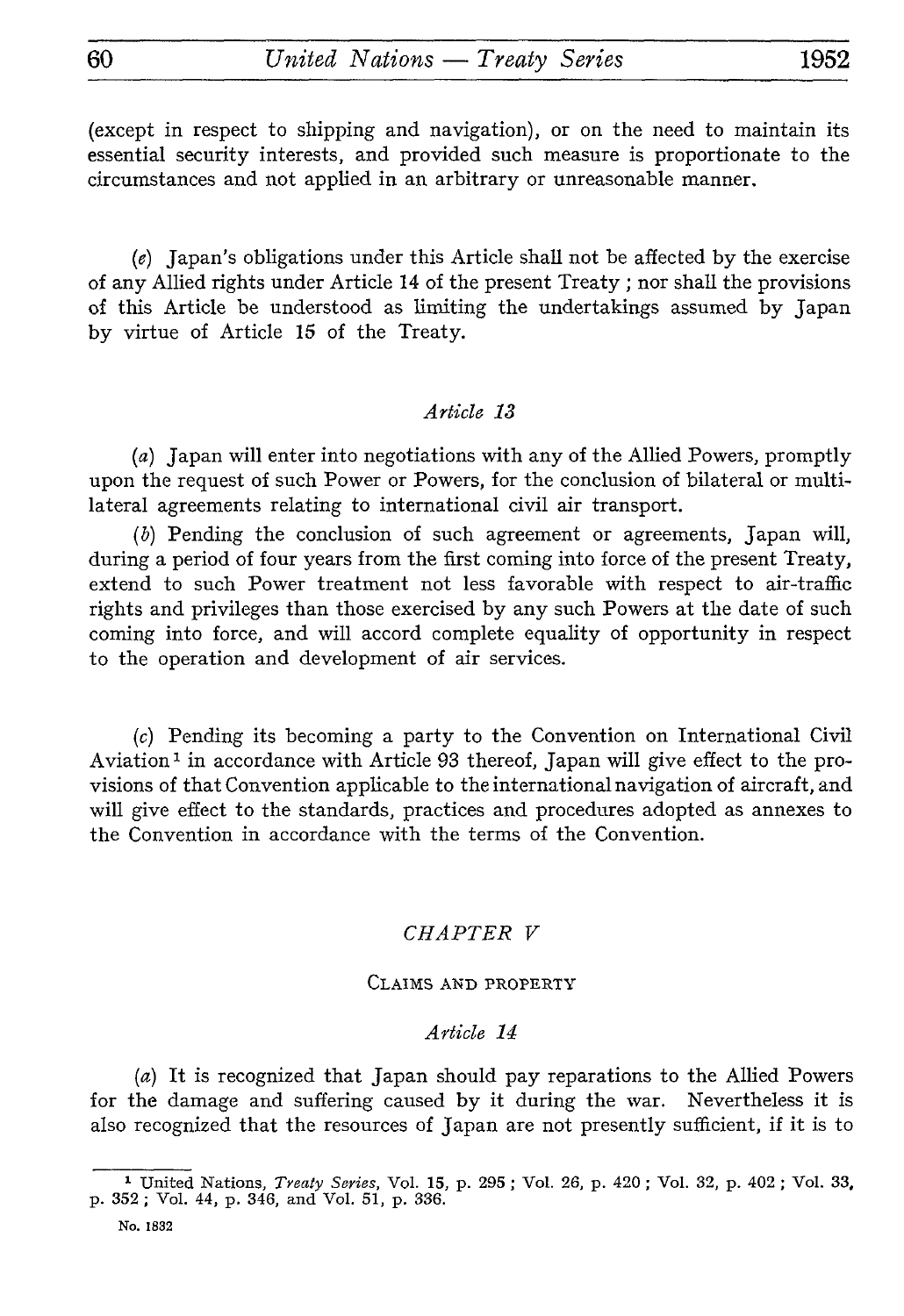(except in respect to shipping and navigation), or on the need to maintain its essential security interests, and provided such measure is proportionate to the circumstances and not applied in an arbitrary or unreasonable manner.

*(e)* Japan's obligations under this Article shall not be affected by the exercise of any Allied rights under Article 14 of the present Treaty ; nor shall the provisions of this Article be understood as limiting the undertakings assumed by Japan by virtue of Article 15 of the Treaty.

#### *Article 13*

*(a)* Japan will enter into negotiations with any of the Allied Powers, promptly upon the request of such Power or Powers, for the conclusion of bilateral or multi lateral agreements relating to international civil air transport.

*(V)* Pending the conclusion of such agreement or agreements, Japan will, during a period of four years from the first coming into force of the present Treaty, extend to such Power treatment not less favorable with respect to air-traffic rights and privileges than those exercised by any such Powers at the date of such coming into force, and will accord complete equality of opportunity in respect to the operation and development of air services.

*(c)* Pending its becoming a party to the Convention on International Civil Aviation<sup>1</sup> in accordance with Article 93 thereof, Japan will give effect to the provisions of that Convention applicable to the international navigation of aircraft, and will give effect to the standards, practices and procedures adopted as annexes to the Convention in accordance with the terms of the Convention.

#### *CHAPTER V*

#### CLAIMS AND PROPERTY

#### *Article là*

*(a)* It is recognized that Japan should pay reparations to the Allied Powers for the damage and suffering caused by it during the war. Nevertheless it is also recognized that the resources of Japan are not presently sufficient, if it is to

<sup>1</sup> United Nations, *Treaty Series,* Vol. 15, p. 295 ; Vol. 26, p. 420 ; Vol. 32, p. 402 ; Vol. 33. p. 352 ; Vol. 44, p. 346, and Vol. 51, p. 336.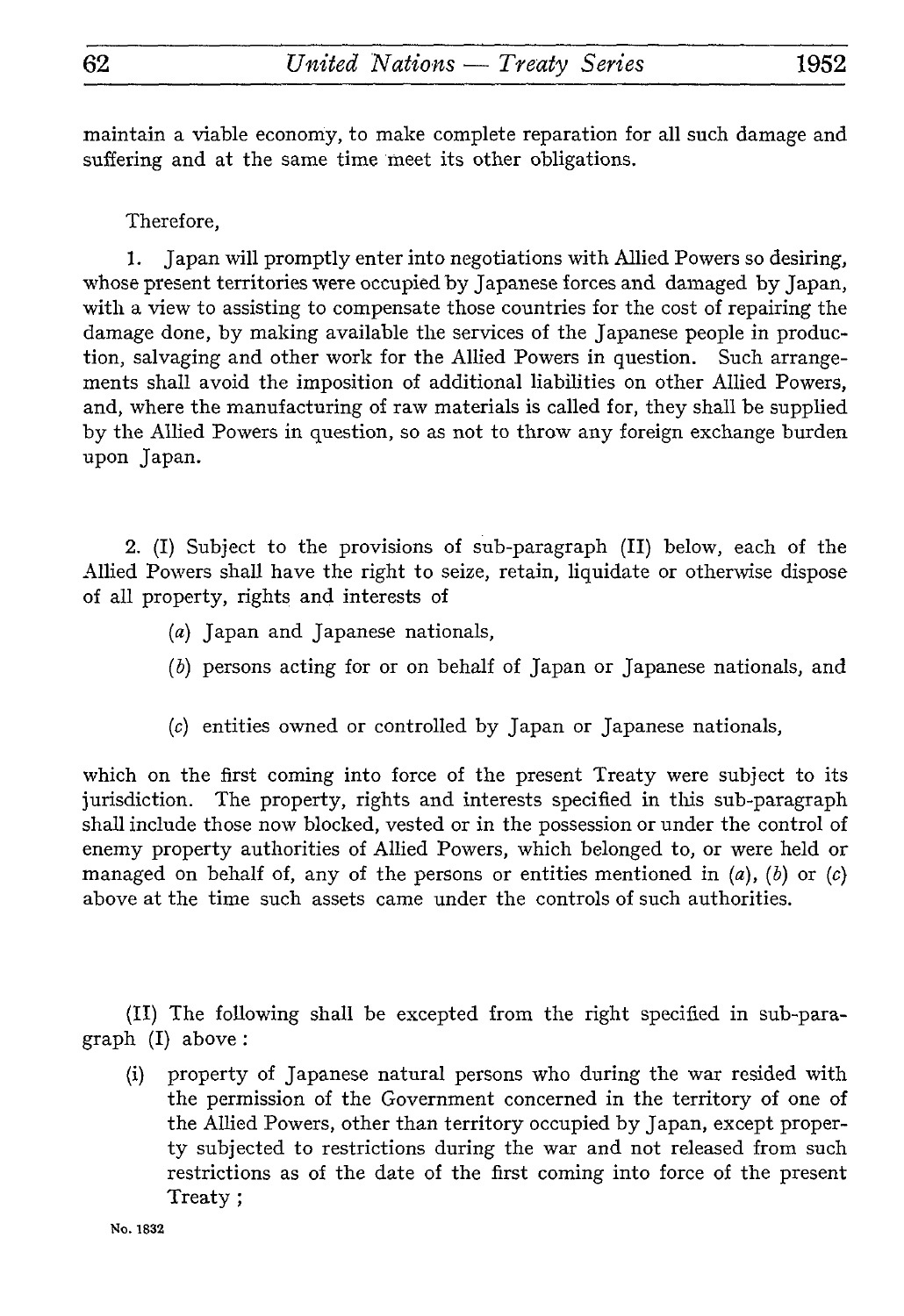maintain a viable economy, to make complete reparation for all such damage and suffering and at the same time meet its other obligations.

Therefore,

1. Japan will promptly enter into negotiations with Allied Powers so desiring, whose present territories were occupied by Japanese forces and damaged by Japan, with a view to assisting to compensate those countries for the cost of repairing the damage done, by making available the services of the Japanese people in produc tion, salvaging and other work for the Allied Powers in question. Such arrange ments shall avoid the imposition of additional liabilities on other Allied Powers, and, where the manufacturing of raw materials is called for, they shall be supplied by the Allied Powers in question, so as not to throw any foreign exchange burden upon Japan.

2. (I) Subject to the provisions of sub-paragraph (II) below, each of the Allied Powers shall have the right to seize, retain, liquidate or otherwise dispose of all property, rights and interests of

- (a) Japan and Japanese nationals,
- *(b)* persons acting for or on behalf of Japan or Japanese nationals, and
- *(c)* entities owned or controlled by Japan or Japanese nationals,

which on the first coming into force of the present Treaty were subject to its jurisdiction. The property, rights and interests specified in this sub-paragraph shall include those now blocked, vested or in the possession or under the control of enemy property authorities of Allied Powers, which belonged to, or were held or managed on behalf of, any of the persons or entities mentioned in *(a), (b)* or *(c)*  above at the time such assets came under the controls of such authorities.

(II) The following shall be excepted from the right specified in sub-para graph (I) above :

(i) property of Japanese natural persons who during the war resided with the permission of the Government concerned in the territory of one of the Allied Powers, other than territory occupied by Japan, except proper ty subjected to restrictions during the war and not released from such restrictions as of the date of the first coming into force of the present Treaty ;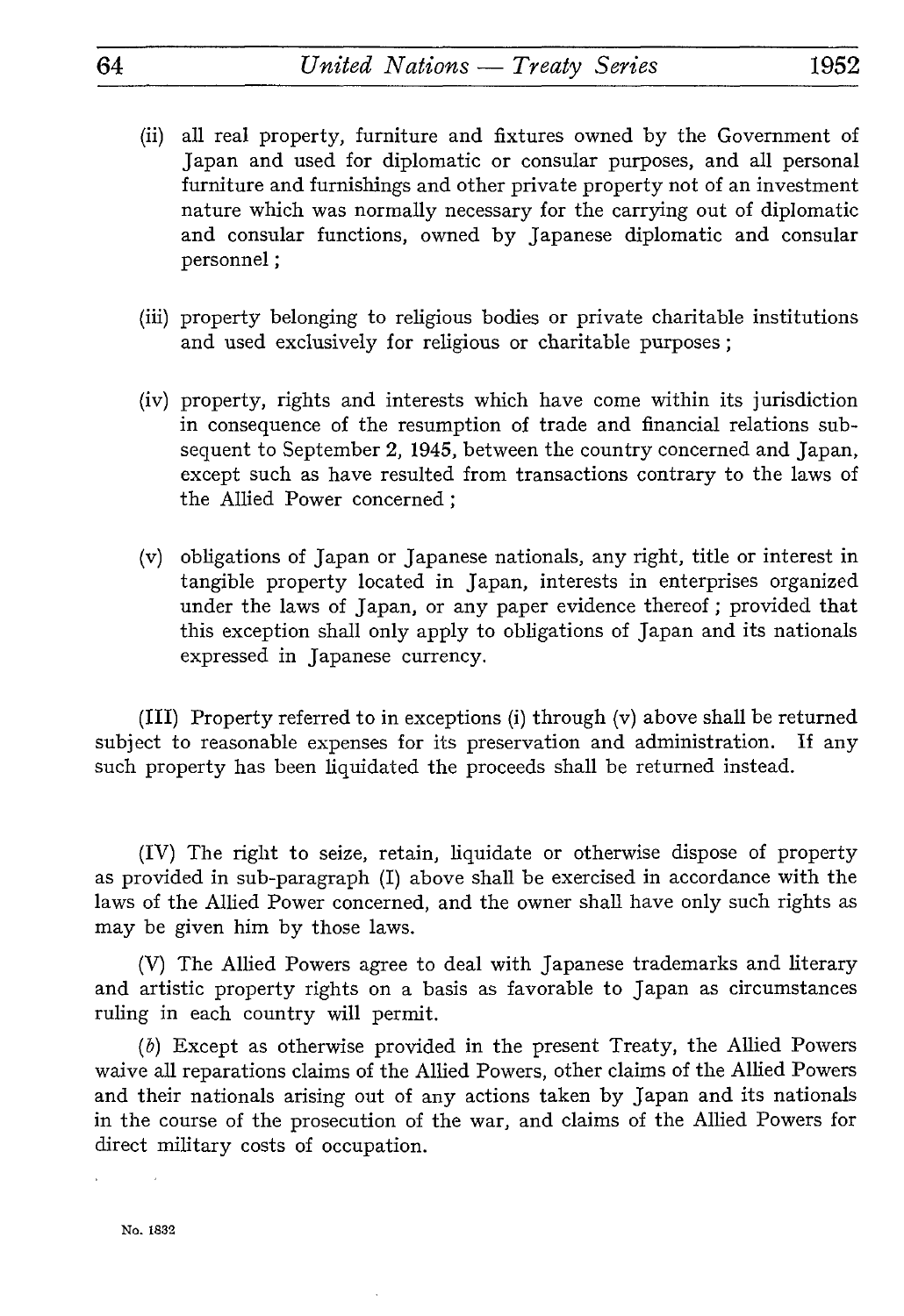- (ii) all real property, furniture and fixtures owned by the Government of Japan and used for diplomatic or consular purposes, and all personal furniture and furnishings and other private property not of an investment nature which was normally necessary for the carrying out of diplomatic and consular functions, owned by Japanese diplomatic and consular personnel ;
- (iii) property belonging to religious bodies or private charitable institutions and used exclusively for religious or charitable purposes ;
- (iv) property, rights and interests which have come within its jurisdiction in consequence of the resumption of trade and financial relations sub sequent to September 2, 1945, between the country concerned and Japan, except such as have resulted from transactions contrary to the laws of the Allied Power concerned ;
- (v) obligations of Japan or Japanese nationals, any right, title or interest in tangible property located in Japan, interests in enterprises organized under the laws of Japan, or any paper evidence thereof ; provided that this exception shall only apply to obligations of Japan and its nationals expressed in Japanese currency.

(Ill) Property referred to in exceptions (i) through (v) above shall be returned subject to reasonable expenses for its preservation and administration. If any such property has been liquidated the proceeds shall be returned instead.

(IV) The right to seize, retain, liquidate or otherwise dispose of property as provided in sub-paragraph (I) above shall be exercised in accordance with the laws of the Allied Power concerned, and the owner shall have only such rights as may be given him by those laws.

(V) The Allied Powers agree to deal with Japanese trademarks and literary and artistic property rights on a basis as favorable to Japan as circumstances ruling in each country will permit.

*(b)* Except as otherwise provided in the present Treaty, the Allied Powers waive all reparations claims of the Allied Powers, other claims of the Allied Powers and their nationals arising out of any actions taken by Japan and its nationals in the course of the prosecution of the war, and claims of the Allied Powers for direct military costs of occupation.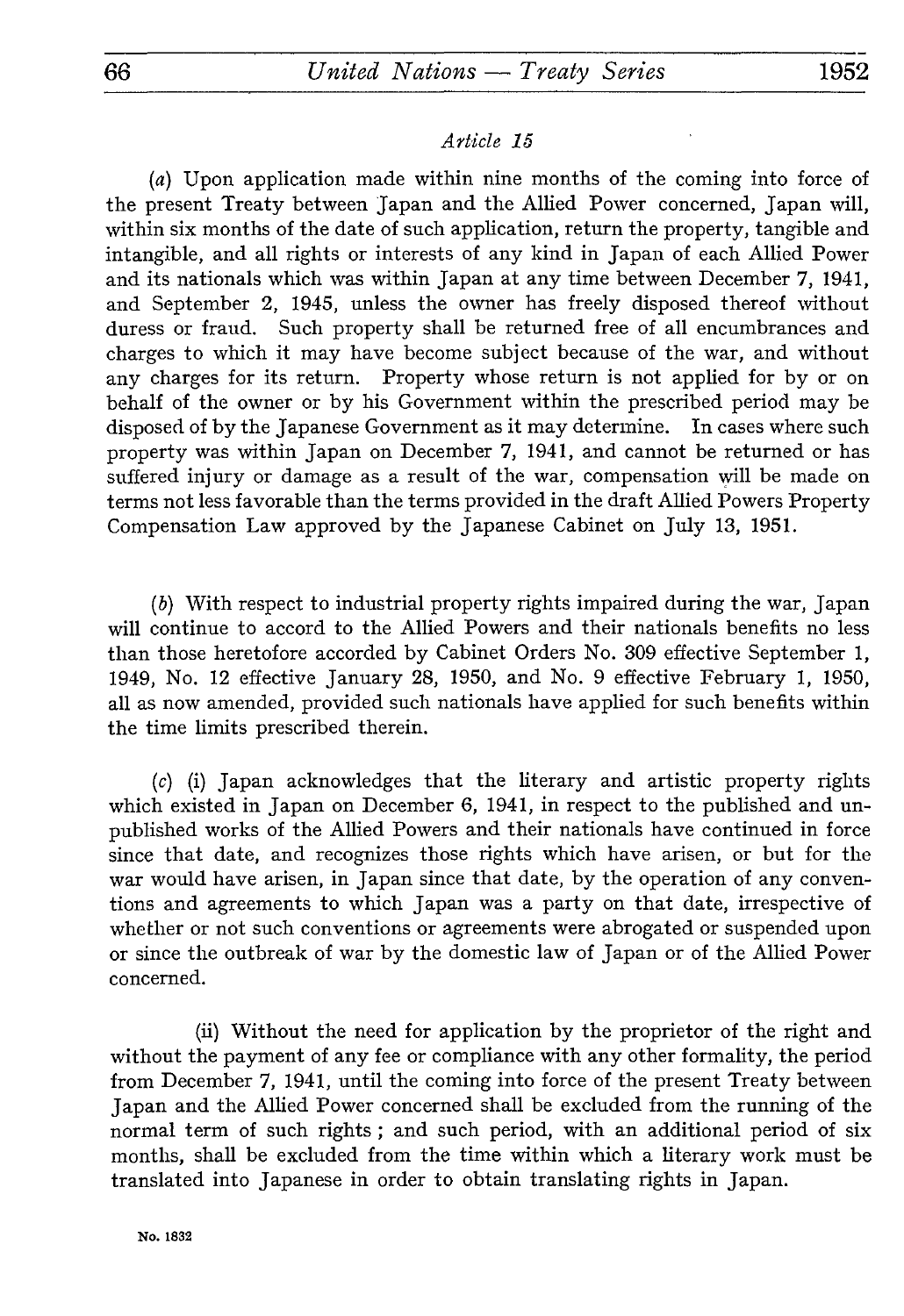*(a)* Upon application made within nine months of the coming into force of the present Treaty between Japan and the Allied Power concerned, Japan will, within six months of the date of such application, return the property, tangible and intangible, and all rights or interests of any kind in Japan of each Allied Power and its nationals which was within Japan at any time between December 7, 1941, and September 2, 1945, unless the owner has freely disposed thereof without duress or fraud. Such property shall be returned free of all encumbrances and charges to which it may have become subject because of the war, and without any charges for its return. Property whose return is not applied for by or on behalf of the owner or by his Government within the prescribed period may be disposed of by the Japanese Government as it may determine. In cases where such property was within Japan on December 7, 1941, and cannot be returned or has suffered injury or damage as a result of the war, compensation will be made on terms not less favorable than the terms provided in the draft Allied Powers Property Compensation Law approved by the Japanese Cabinet on July 13, 1951.

*(b)* With respect to industrial property rights impaired during the war, Japan will continue to accord to the Allied Powers and their nationals benefits no less than those heretofore accorded by Cabinet Orders No. 309 effective September 1, 1949, No. 12 effective January 28, 1950, and No. 9 effective February 1, 1950, all as now amended, provided such nationals have applied for such benefits within the time limits prescribed therein.

(c) (i) Japan acknowledges that the literary and artistic property rights which existed in Japan on December 6, 1941, in respect to the published and unpublished works of the Allied Powers and their nationals have continued in force since that date, and recognizes those rights which have arisen, or but for the war would have arisen, in Japan since that date, by the operation of any conven tions and agreements to which Japan was a party on that date, irrespective of whether or not such conventions or agreements were abrogated or suspended upon or since the outbreak of war by the domestic law of Japan or of the Allied Power concerned.

(ii) Without the need for application by the proprietor of the right and without the payment of any fee or compliance with any other formality, the period from December 7, 1941, until the coming into force of the present Treaty between Japan and the Allied Power concerned shall be excluded from the running of the normal term of such rights ; and such period, with an additional period of six months, shall be excluded from the time within which a literary work must be translated into Japanese in order to obtain translating rights in Japan.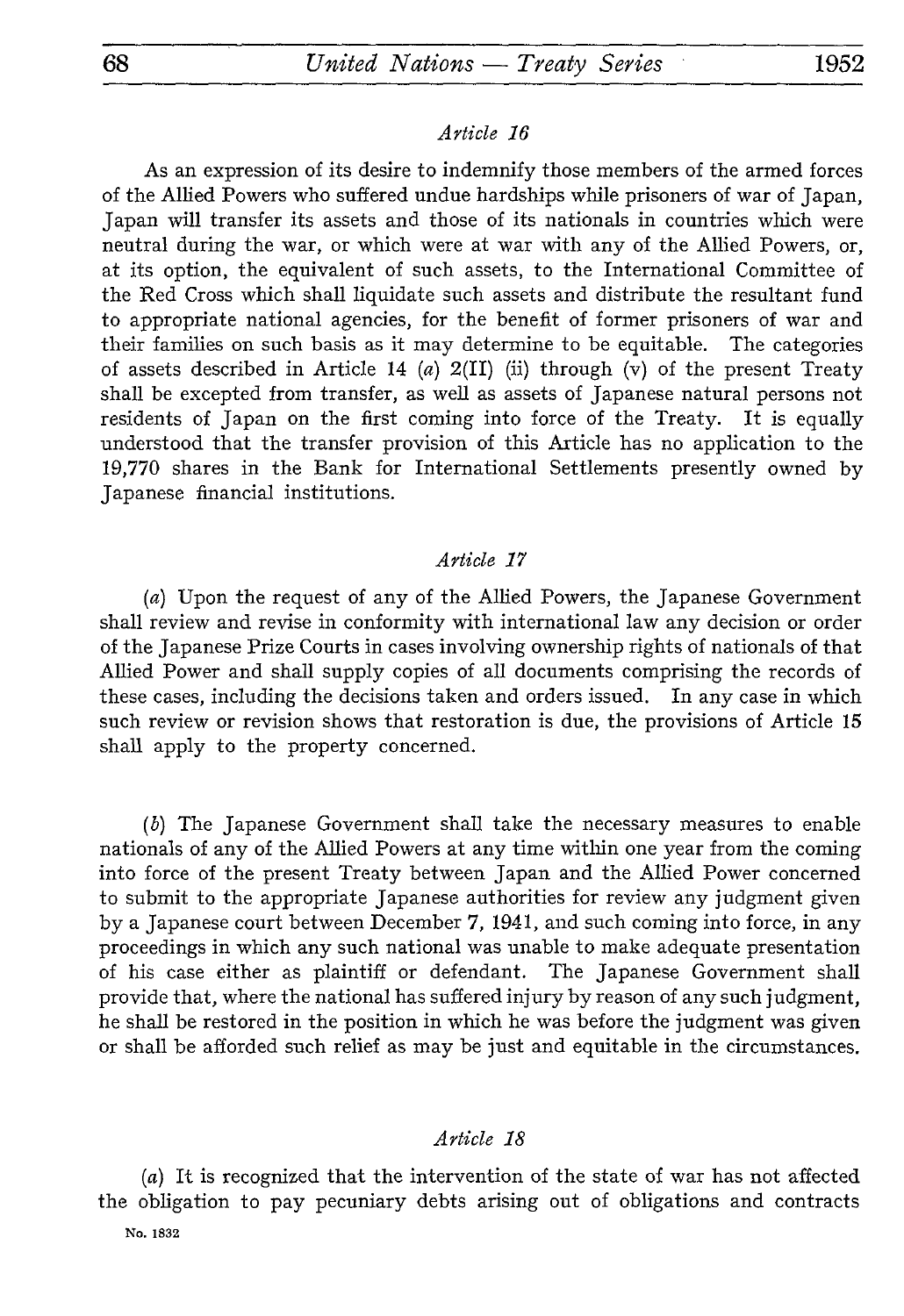#### *Article 16*

As an expression of its desire to indemnify those members of the armed forces of the Allied Powers who suffered undue hardships while prisoners of war of Japan, Japan will transfer its assets and those of its nationals in countries which were neutral during the war, or which were at war with any of the Allied Powers, or, at its option, the equivalent of such assets, to the International Committee of the Red Cross which shall liquidate such assets and distribute the resultant fund to appropriate national agencies, for the benefit of former prisoners of war and their families on such basis as it may determine to be equitable. The categories of assets described in Article 14 *(a)* 2(11) (ii) through (v) of the present Treaty shall be excepted from transfer, as well as assets of Japanese natural persons not residents of Japan on the first coming into force of the Treaty. It is equally understood that the transfer provision of this Article has no application to the 19,770 shares in the Bank for International Settlements presently owned by Japanese financial institutions.

#### *Article 17*

*(a)* Upon the request of any of the Allied Powers, the Japanese Government shall review and revise in conformity with international law any decision or order of the Japanese Prize Courts in cases involving ownership rights of nationals of that Allied Power and shall supply copies of all documents comprising the records of these cases, including the decisions taken and orders issued. In any case in which such review or revision shows that restoration is due, the provisions of Article 15 shall apply to the property concerned.

*(b)* The Japanese Government shall take the necessary measures to enable nationals of any of the Allied Powers at any time within one year from the coming into force of the present Treaty between Japan and the Allied Power concerned to submit to the appropriate Japanese authorities for review any judgment given by a Japanese court between December 7, 1941, and such coming into force, in any proceedings in which any such national was unable to make adequate presentation of his case either as plaintiff or defendant. The Japanese Government shall provide that, where the national has suffered injury by reason of any such judgment, he shall be restored in the position in which he was before the judgment was given or shall be afforded such relief as may be just and equitable in the circumstances.

#### *Article 18*

*(a)* It is recognized that the intervention of the state of war has not affected the obligation to pay pecuniary debts arising out of obligations and contracts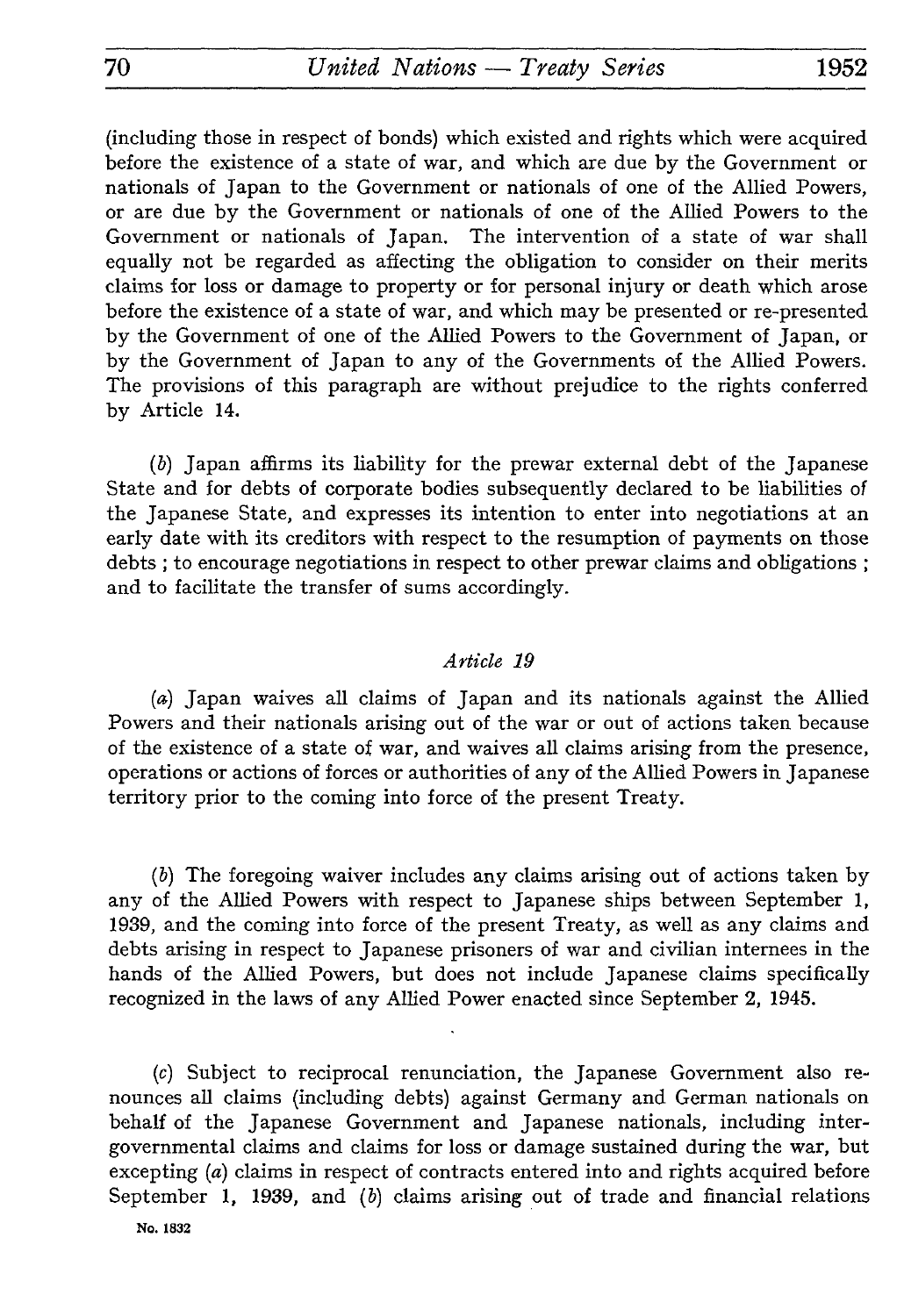(including those in respect of bonds) which existed and rights which were acquired before the existence of a state of war, and which are due by the Government or nationals of Japan to the Government or nationals of one of the Allied Powers, or are due by the Government or nationals of one of the Allied Powers to the Government or nationals of Japan. The intervention of a state of war shall The intervention of a state of war shall equally not be regarded as affecting the obligation to consider on their merits claims for loss or damage to property or for personal injury or death which arose before the existence of a state of war, and which may be presented or re-presented by the Government of one of the Allied Powers to the Government of Japan, or by the Government of Japan to any of the Governments of the Allied Powers. The provisions of this paragraph are without prejudice to the rights conferred by Article 14.

*(b)* Japan affirms its liability for the prewar external debt of the Japanese State and for debts of corporate bodies subsequently declared to be liabilities of the Japanese State, and expresses its intention to enter into negotiations at an early date with its creditors with respect to the resumption of payments on those debts ; to encourage negotiations in respect to other prewar claims and obligations ; and to facilitate the transfer of sums accordingly.

#### *Article 19*

*(a)* Japan waives all claims of Japan and its nationals against the Allied Powers and their nationals arising out of the war or out of actions taken because of the existence of a state of war, and waives all claims arising from the presence, operations or actions of forces or authorities of any of the Allied Powers in Japanese territory prior to the coming into force of the present Treaty.

*(b)* The foregoing waiver includes any claims arising out of actions taken by any of the Allied Powers with respect to Japanese ships between September 1, 1939, and the coming into force of the present Treaty, as well as any claims and debts arising in respect to Japanese prisoners of war and civilian internees in the hands of the Allied Powers, but does not include Japanese claims specifically recognized in the laws of any Allied Power enacted since September 2, 1945.

*(c)* Subject to reciprocal renunciation, the Japanese Government also re nounces all claims (including debts) against Germany and German nationals on behalf of the Japanese Government and Japanese nationals, including inter governmental claims and claims for loss or damage sustained during the war, but excepting *(a)* claims in respect of contracts entered into and rights acquired before September 1, 1939, and *(b)* claims arising out of trade and financial relations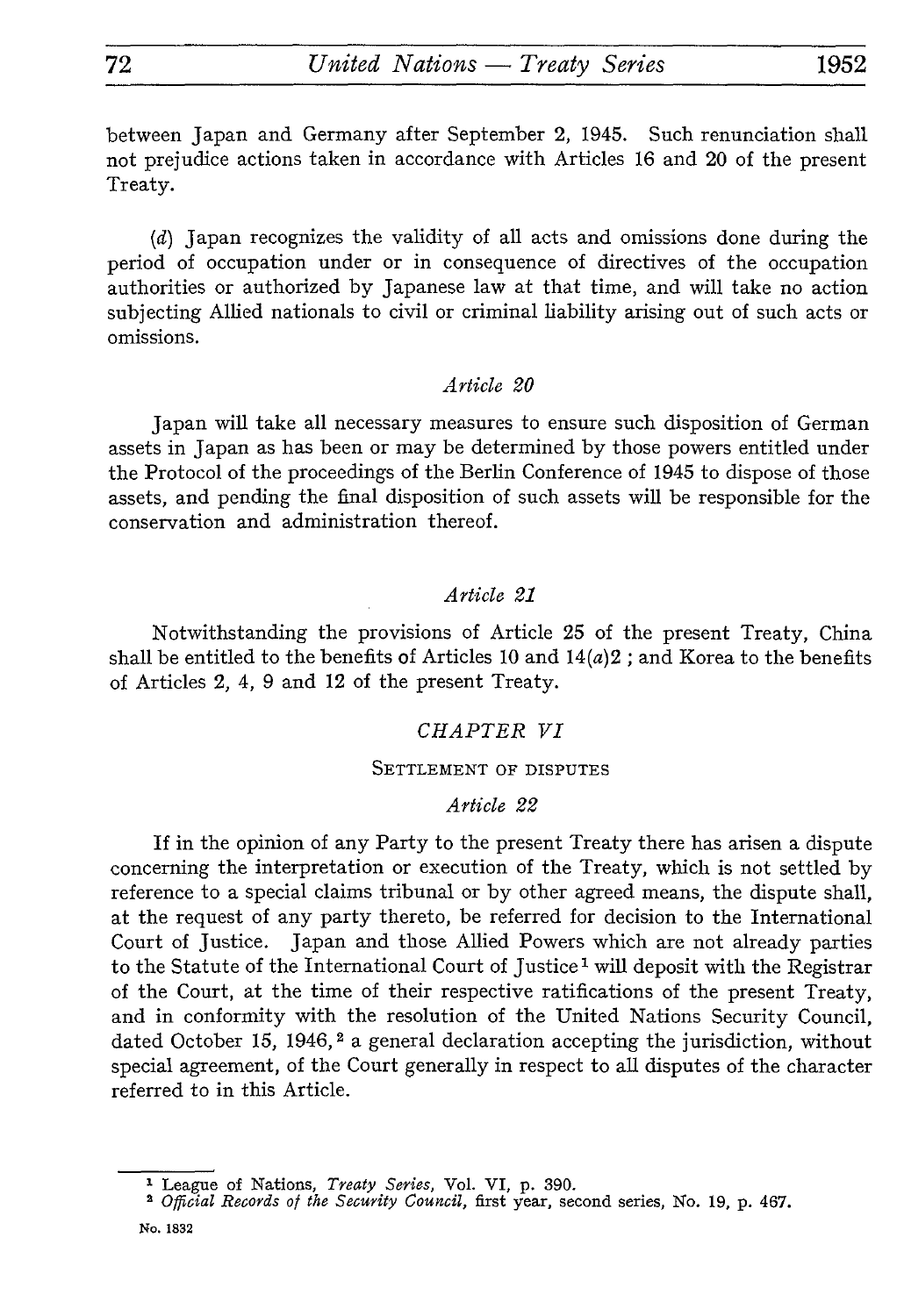between Japan and Germany after September 2, 1945. Such renunciation shall not prejudice actions taken in accordance with Articles 16 and 20 of the present Treaty.

*(d)* Japan recognizes the validity of all acts and omissions done during the period of occupation under or in consequence of directives of the occupation authorities or authorized by Japanese law at that time, and will take no action subjecting Allied nationals to civil or criminal liability arising out of such acts or omissions.

#### *Article 20*

Japan will take all necessary measures to ensure such disposition of German assets in Japan as has been or may be determined by those powers entitled under the Protocol of the proceedings of the Berlin Conference of 1945 to dispose of those assets, and pending the final disposition of such assets will be responsible for the conservation and administration thereof.

#### *Article 21*

Notwithstanding the provisions of Article 25 of the present Treaty, China shall be entitled to the benefits of Articles 10 and  $14(a)2$ ; and Korea to the benefits of Articles 2, 4, 9 and 12 of the present Treaty.

#### *CHAPTER VI*

#### SETTLEMENT OF DISPUTES

#### *Article 22*

If in the opinion of any Party to the present Treaty there has arisen a dispute concerning the interpretation or execution of the Treaty, which is not settled by reference to a special claims tribunal or by other agreed means, the dispute shall, at the request of any party thereto, be referred for decision to the International Court of Justice. Japan and those Allied Powers which are not already parties to the Statute of the International Court of Justice<sup>1</sup> will deposit with the Registrar of the Court, at the time of their respective ratifications of the present Treaty, and in conformity with the resolution of the United Nations Security Council, dated October 15, 1946,<sup>2</sup> a general declaration accepting the jurisdiction, without special agreement, of the Court generally in respect to all disputes of the character referred to in this Article.

<sup>1</sup> League of Nations, *Treaty Series,* Vol. VI, p. 390.

<sup>2</sup>*Official Records of the Security Council,* first year, second series, No. 19, p. 467.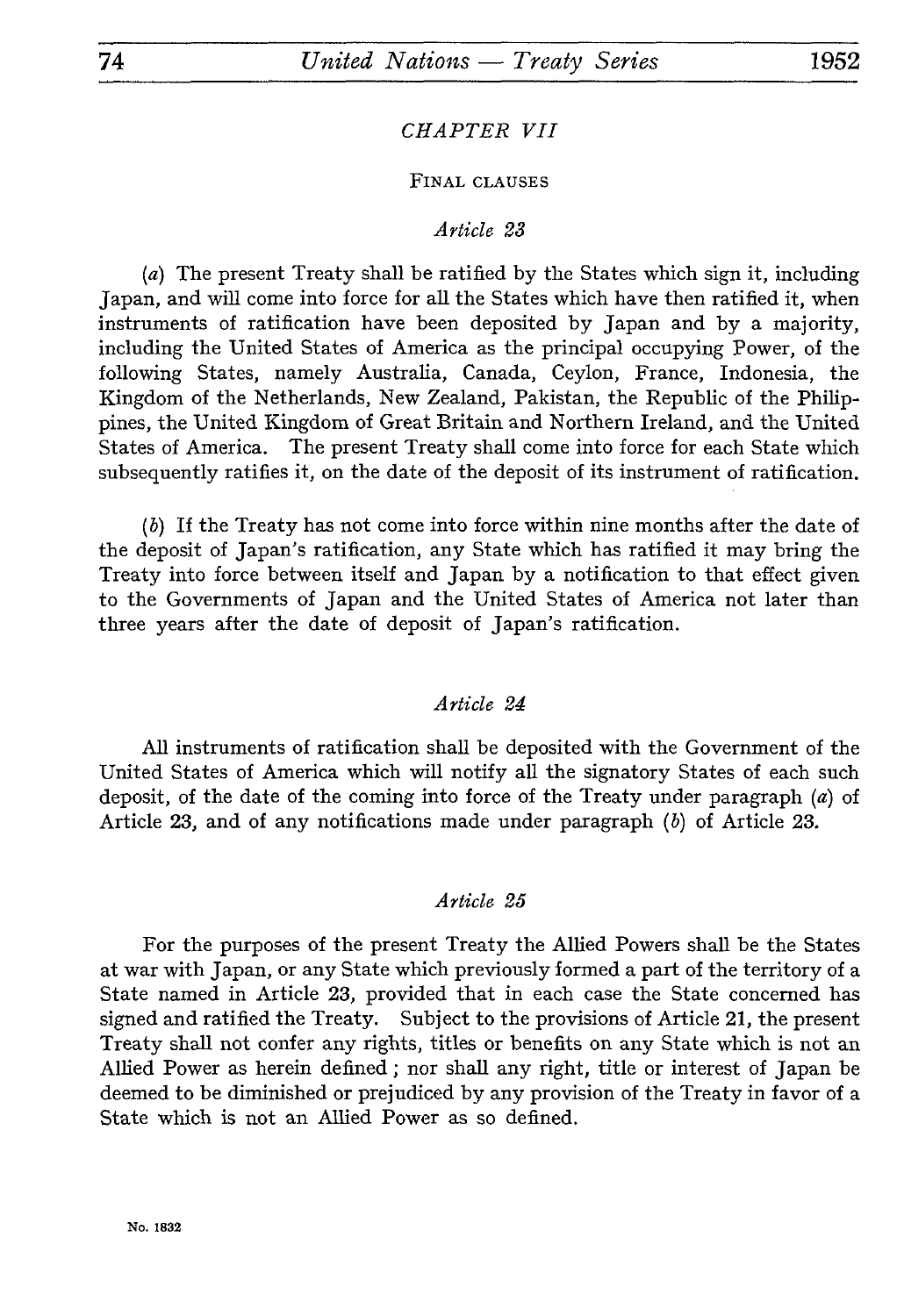## *CHAPTER VII*

#### FINAL CLAUSES

#### *Article 23*

*(a)* The present Treaty shall be ratified by the States which sign it, including Japan, and will come into force for all the States which have then ratified it, when instruments of ratification have been deposited by Japan and by a majority, including the United States of America as the principal occupying Power, of the following States, namely Australia, Canada, Ceylon, France, Indonesia, the Kingdom of the Netherlands, New Zealand, Pakistan, the Republic of the Philip pines, the United Kingdom of Great Britain and Northern Ireland, and the United States of America. The present Treaty shall come into force for each State which subsequently ratifies it, on the date of the deposit of its instrument of ratification.

(&) If the Treaty has not come into force within nine months after the date of the deposit of Japan's ratification, any State which has ratified it may bring the Treaty into force between itself and Japan by a notification to that effect given to the Governments of Japan and the United States of America not later than three years after the date of deposit of Japan's ratification.

#### *Article 24*

All instruments of ratification shall be deposited with the Government of the United States of America which will notify all the signatory States of each such deposit, of the date of the coming into force of the Treaty under paragraph *(a)* of Article 23, and of any notifications made under paragraph *(b)* of Article 23.

#### *Article 25*

For the purposes of the present Treaty the Allied Powers shall be the States at war with Japan, or any State which previously formed a part of the territory of a State named in Article 23, provided that in each case the State concerned has signed and ratified the Treaty. Subject to the provisions of Article 21, the present Treaty shall not confer any rights, titles or benefits on any State which is not an Allied Power as herein defined ; nor shall any right, title or interest of Japan be deemed to be diminished or prejudiced by any provision of the Treaty in favor of a State which is not an Allied Power as so defined.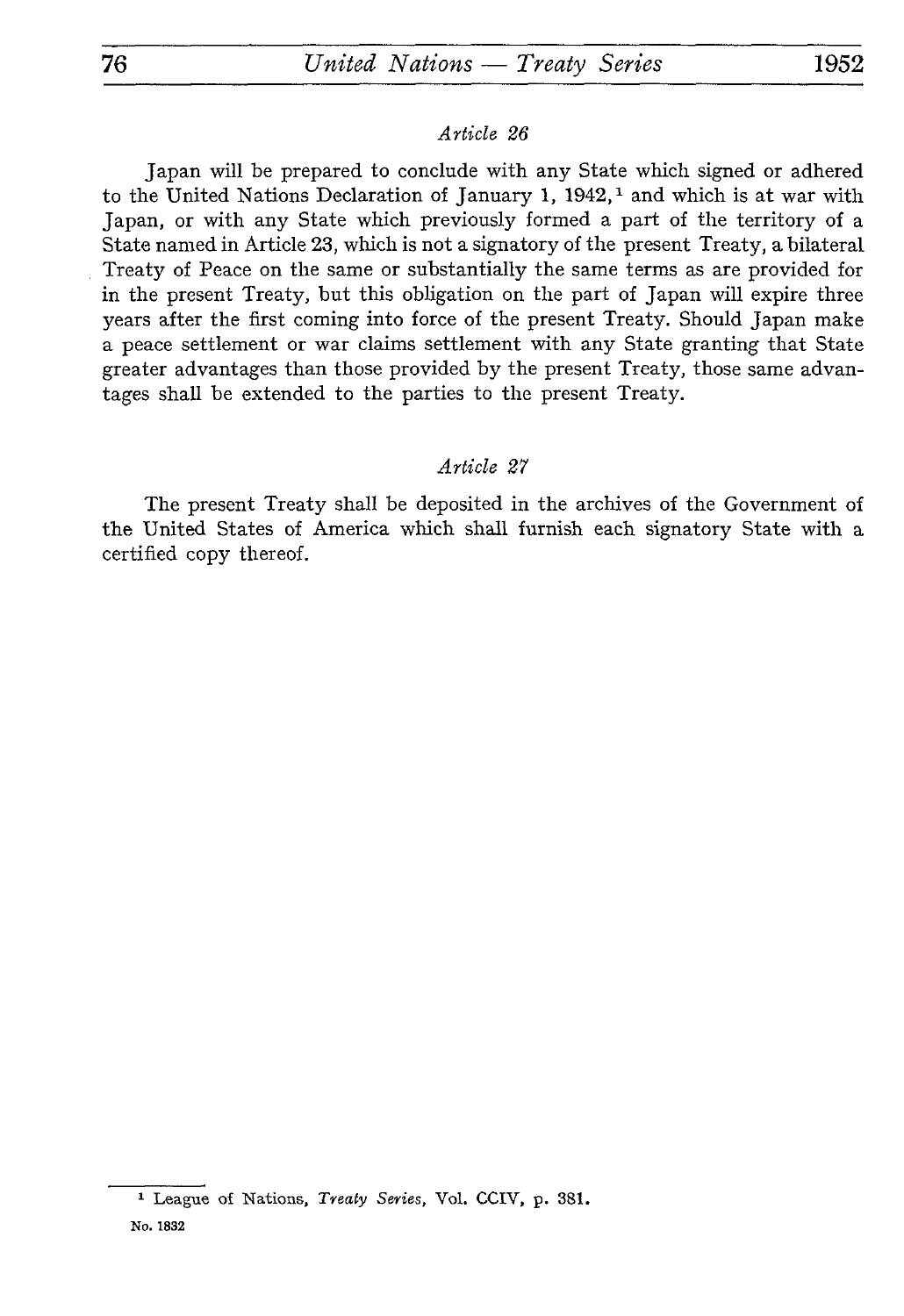Japan will be prepared to conclude with any State which signed or adhered to the United Nations Declaration of January 1, 1942,<sup>1</sup> and which is at war with Japan, or with any State which previously formed a part of the territory of a State named in Article 23, which is not a signatory of the present Treaty, a bilateral Treaty of Peace on the same or substantially the same terms as are provided for in the present Treaty, but this obligation on the part of Japan will expire three years after the first coming into force of the present Treaty. Should Japan make a peace settlement or war claims settlement with any State granting that State greater advantages than those provided by the present Treaty, those same advan tages shall be extended to the parties to the present Treaty.

#### *Article 27*

The present Treaty shall be deposited in the archives of the Government of the United States of America which shall furnish each signatory State with a certified copy thereof.

<sup>1</sup> League of Nations, *Treaty Series,* Vol. CCIV, p. 381.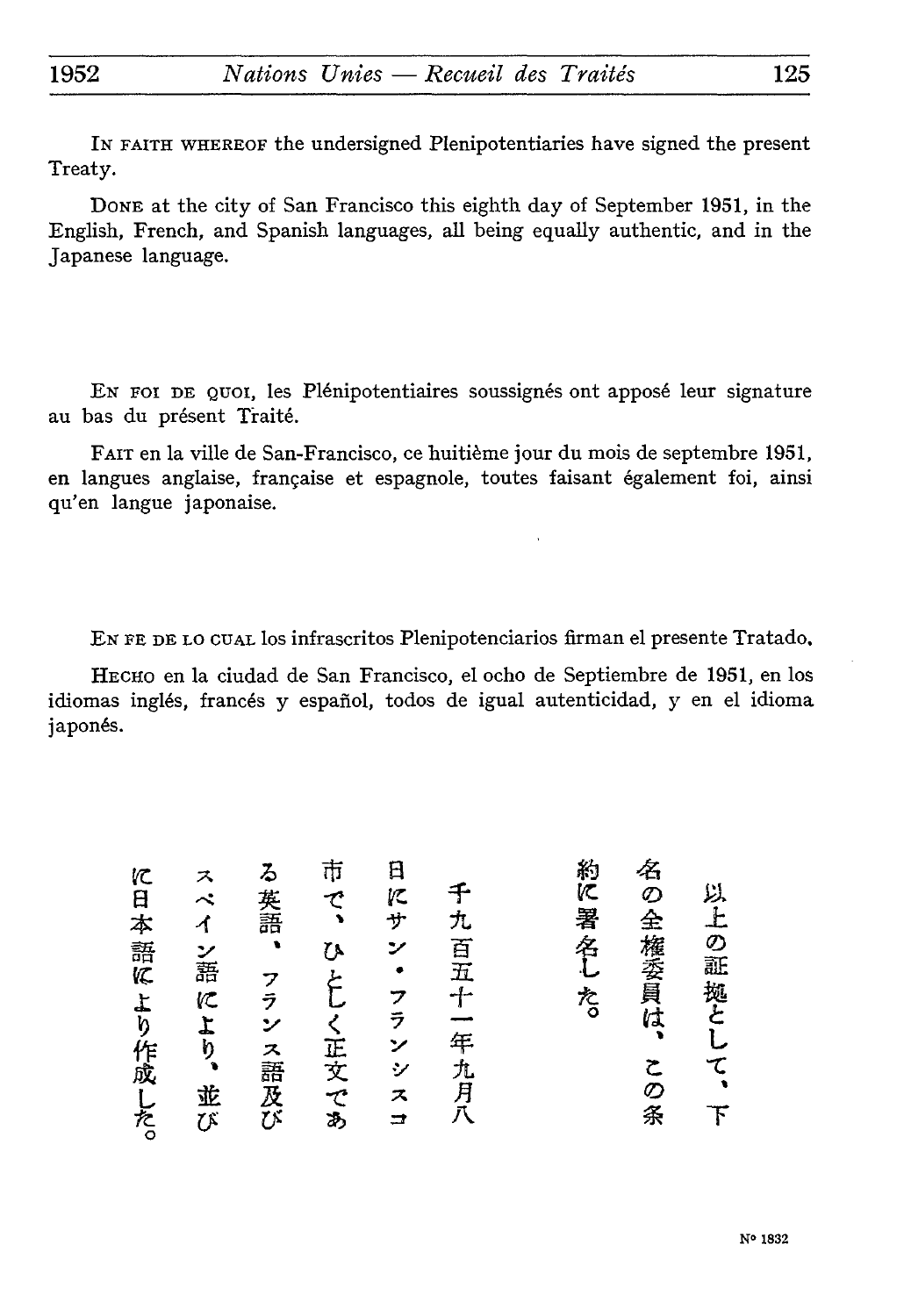IN FAITH WHEREOF the undersigned Plenipotentiaries have signed the present Treaty.

DONE at the city of San Francisco this eighth day of September 1951, in the English, French, and Spanish languages, all being equally authentic, and in the Japanese language.

EN FOI DE QUOI, les Plénipotentiaires soussignés ont apposé leur signature au bas du présent Traité.

FAIT en la ville de San-Francisco, ce huitième jour du mois de septembre 1951, en langues anglaise, française et espagnole, toutes faisant également foi, ainsi qu'en langue japonaise.

EN FE DE LO CUAL los infrascritos Plenipotenciarios firman el presente Tratado.

 $\sim$ 

Несно en la ciudad de San Francisco, el ocho de Septiembre de 1951, en los idiomas inglés, francés y español, todos de igual autenticidad, y en el idioma japonés.

| に日本 語に より作成した。 | ス<br>$\frac{1}{4}$<br>ン語に<br>より、並び | $\boldsymbol{z}$<br>英語、<br>フラ<br>ンス語及び | पी<br>て、<br>Ö۹<br>としく正文であ | $\mathsf{B}$<br>ĮC<br>サ<br>$\bullet$<br>7<br>ラ<br>Y,<br>رية<br>ス | 九百五十一年九月八 |  | 約に署名した。 | 名の全権委員は、<br>この条 | 以上の証拠として、<br>$\overline{F}$ |
|----------------|------------------------------------|----------------------------------------|---------------------------|------------------------------------------------------------------|-----------|--|---------|-----------------|-----------------------------|
|----------------|------------------------------------|----------------------------------------|---------------------------|------------------------------------------------------------------|-----------|--|---------|-----------------|-----------------------------|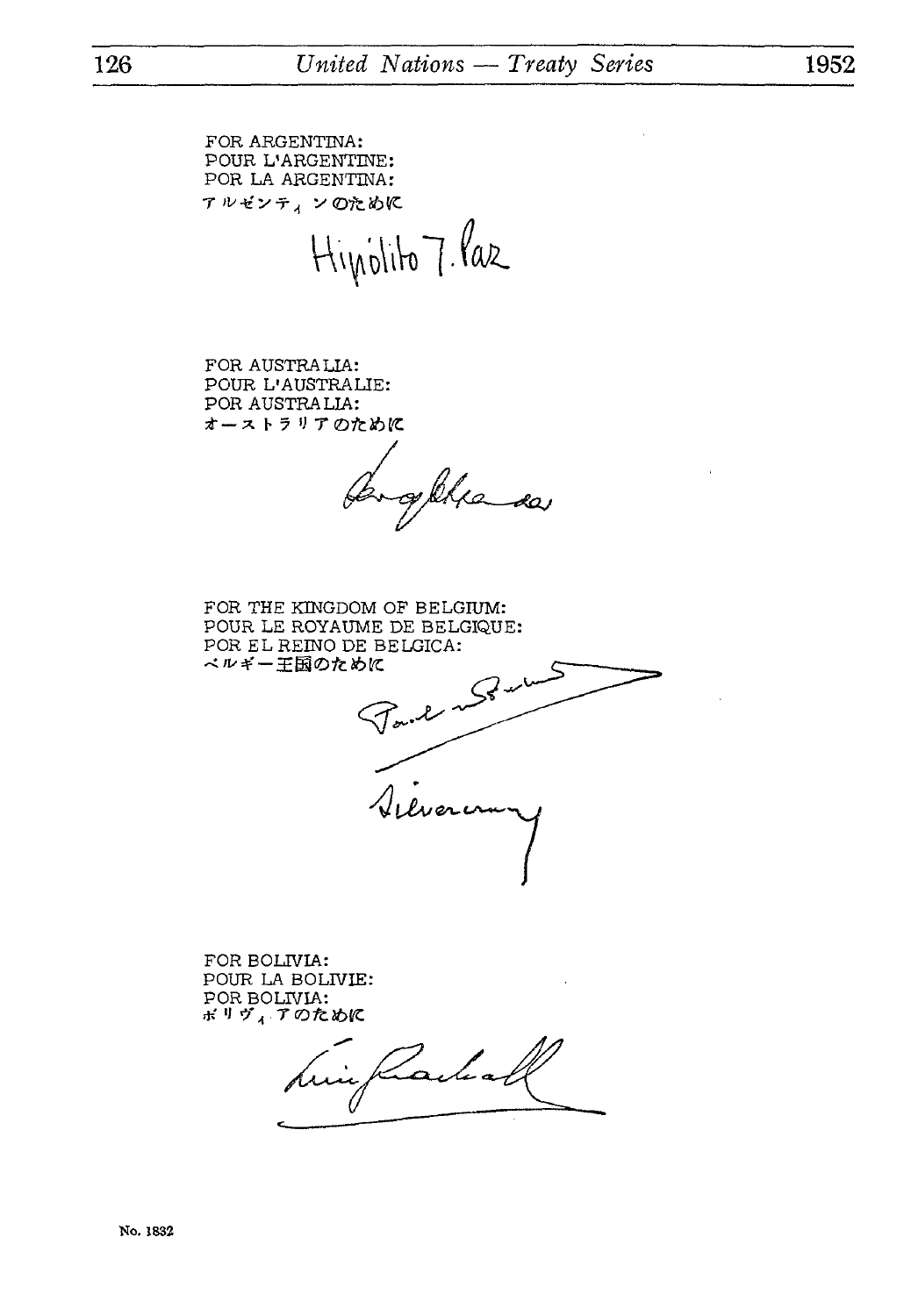FOR ARGENTINA: POUR L'ARGENTINE: FOR LA ARGENTINA: アルゼンティンのために

Hippolito 7 laz

FOR AUSTRALIA: POUR L'AUSTRALIE:<br>POR AUSTRALIA: **オーストラリアのために** 

ophra sa

FOR THE KINGDOM OF BELGIUM: POUR LE ROYAUME DE BELGIQUE: POR EL REINO DE BELGICA:<br>ベルギー王国のために

ok<br>Poul not Von<br>Silvers

FOR BOLIVIA: POUR LA BOLIVIE: POR BOLIVIA:<br>ボリヴィアのために

Lahat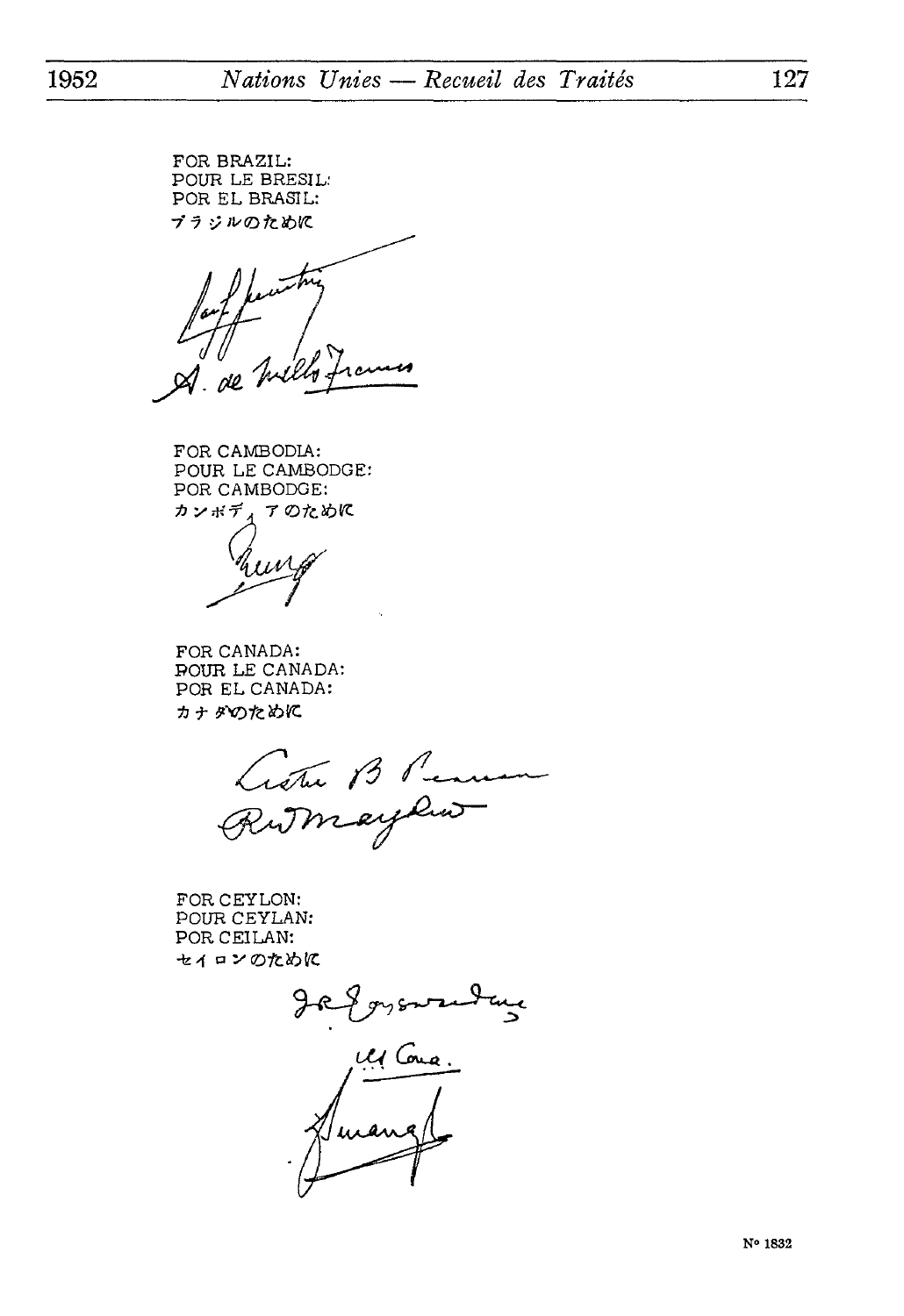FOR BRAZIL: POUR LE BRESIL: POR EL BRASIL: ブラジルのために

مە  $\mathcal{A}$ . de

FOR CAMBODIA: POUR LE CAMBODGE: POR CAMBODGE: カンボディアのために

FOR CANADA: POUR LE CANADA: POR EL CANADA: カナダのために

Cestre Bleaum

FOR CEYLON: POUR CEYLAN: POR CEILAN: セイロンのために

Regissors پہند<br>د

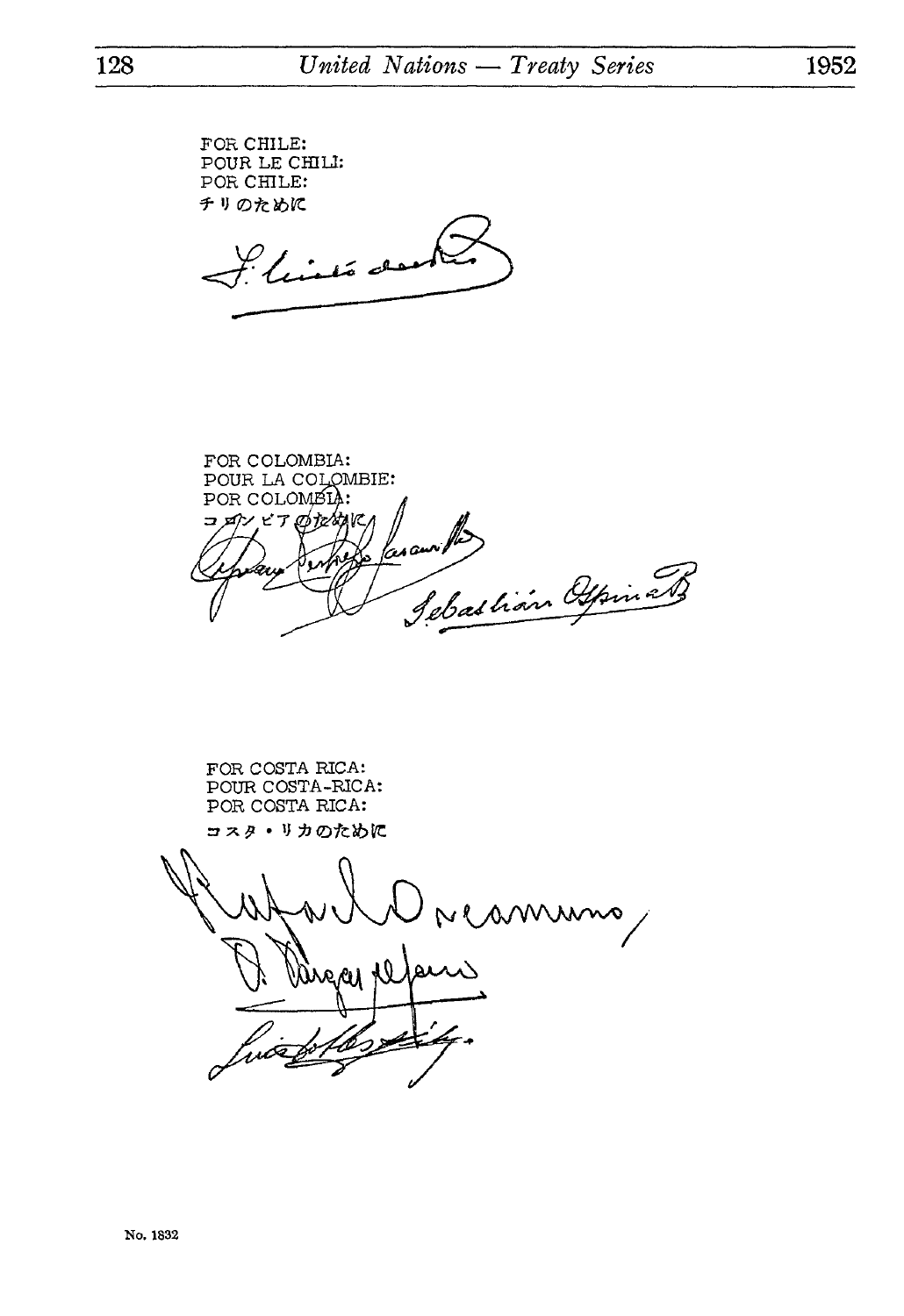FOR CHILE: POUR LE CHILI: POR CHILE: チリのために

حلى صَلَّىسًا

FOR COLOMBIA: POUR LA COLOMBIE POR COLOMBIA: シ ビア のために lasaur Jebaslian Official

FOR COSTA RICA: POUR COSTA-RICA: POR COSTA RICA: コスタ・リカのために

annumo  $\mathcal{W}$ لمحتف rever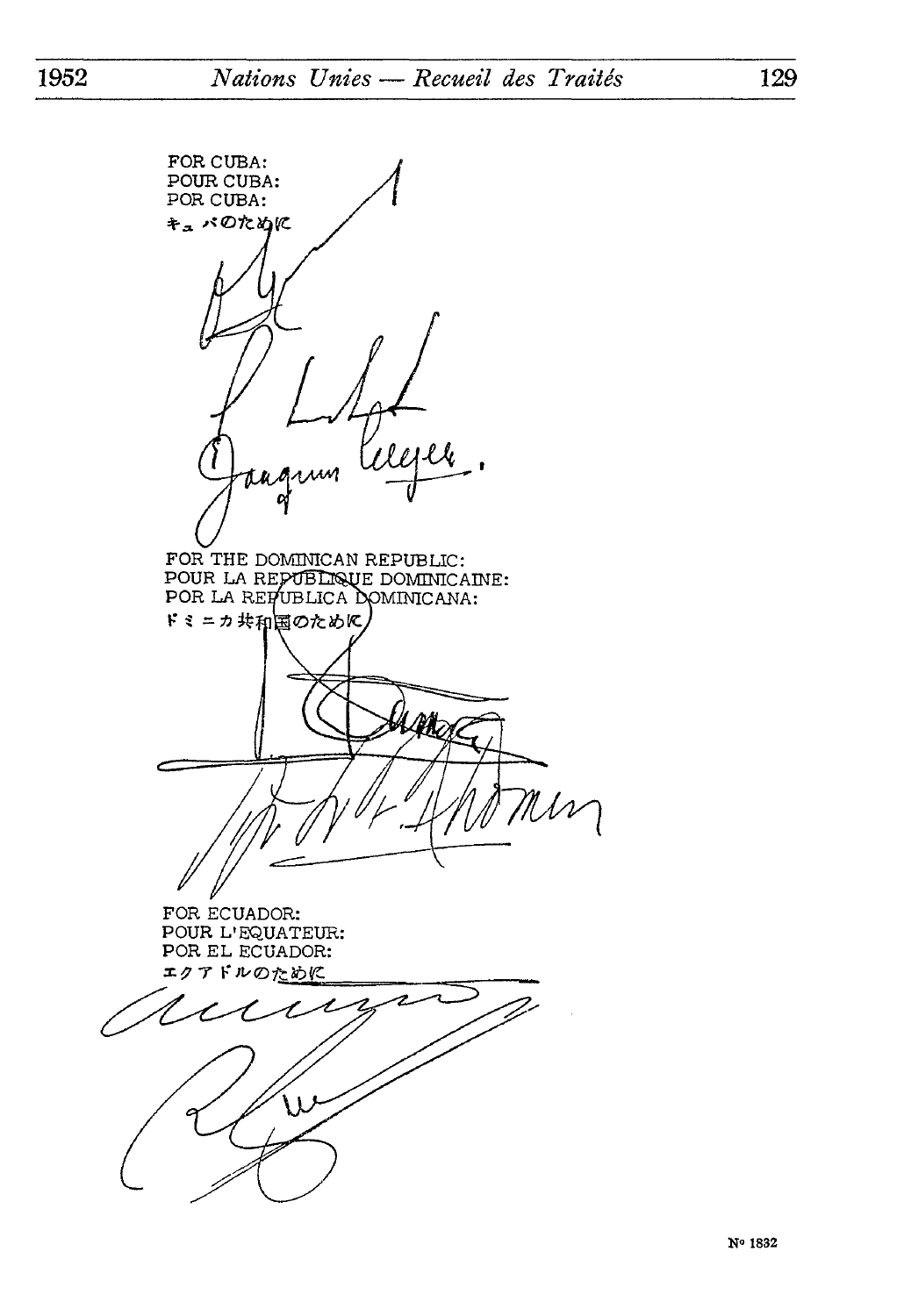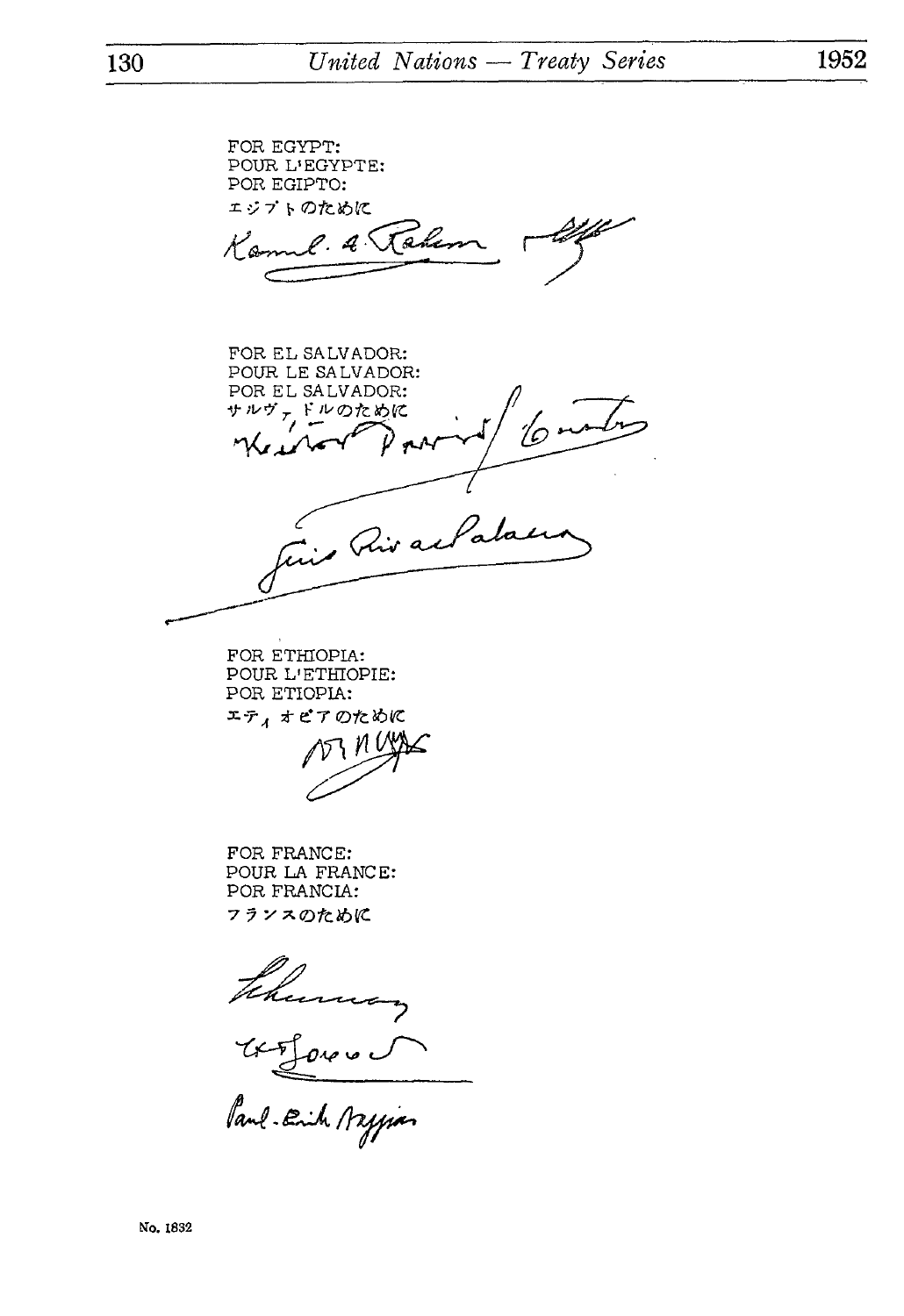FOR EGYPT: POUR L'EGYPTE: POR EGIPTO: エジプトのために Kamel. A. Radem FOR EL SALVADOR: POUR LE SALVADOR: POR EL SALVADOR:<br>サルヴァ, ドルのために l0 + Kri Time Pix acPatan FOR ETHIOPIA: POUR L'ETmOPIE: POR ETIOPIA:<br>エテ<sub>ィ</sub> オピアのために BINUSA FOR FRANCE: POUR LA FRANCE: POR FRANCIA: フランスのために

Lehenney<br>145 Jores J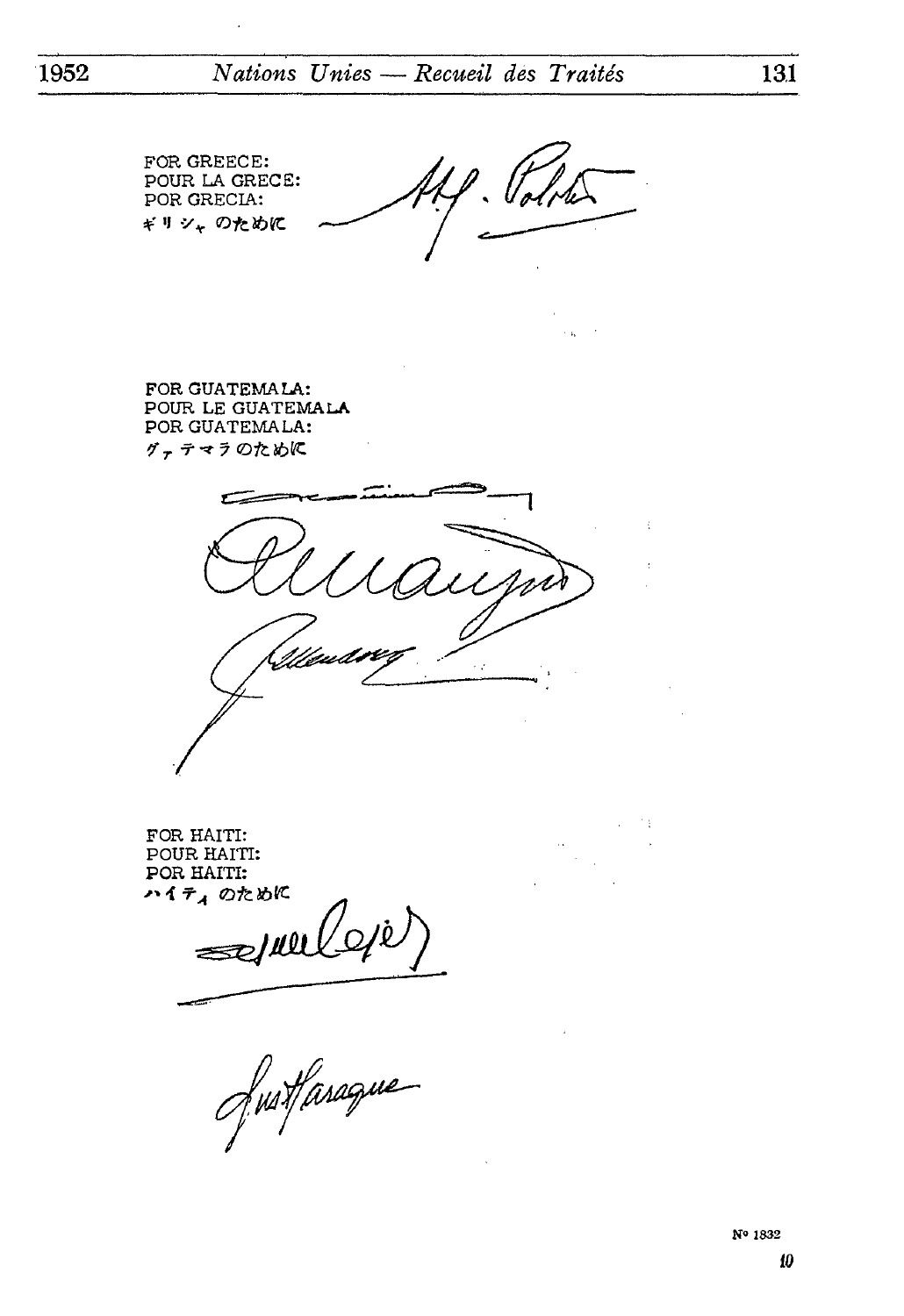FOR GREECE: POUR LA GRECE: POR GRECIA: ギリシャのために FOR GUATEMALA: POUR LE GUATEMALA POR GUATEMALA:<br>  $\vec{r}_r \vec{\tau} \approx \vec{v}$  のために ÷  $\gamma_4$ FOR HAITI:

POUR HAITI: POR HAITI:<br>ハイティ のために

elmorg  $\dot{\mathcal{L}}$ 

Justaraque

**N« 1832**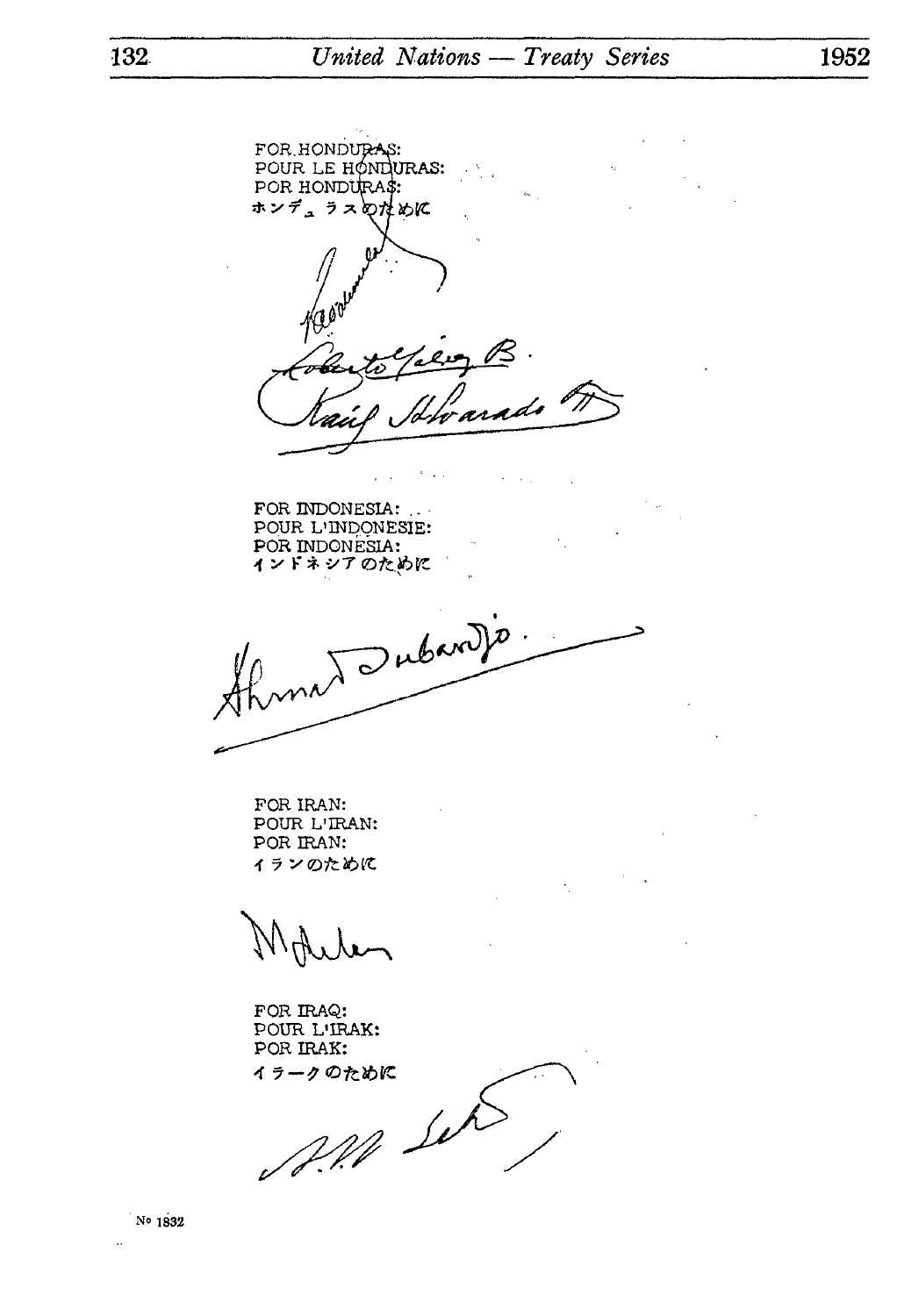FOR HONDURAS: POUR LE HONDURAS: POR HONDURAS: ホンデュラスめために ren 13.

FOR INDONESIA:  $\sim 10^{-1}$ POUR L'INDONESIE: POR INDONESIA: インドネシアのために

nt dubardjo.

FOR IRAN: POUR L'IRAN: POR IRAN: イランのために

FOR IRAQ: POUR L'IRAK: POR IRAK:

イラークのために All Set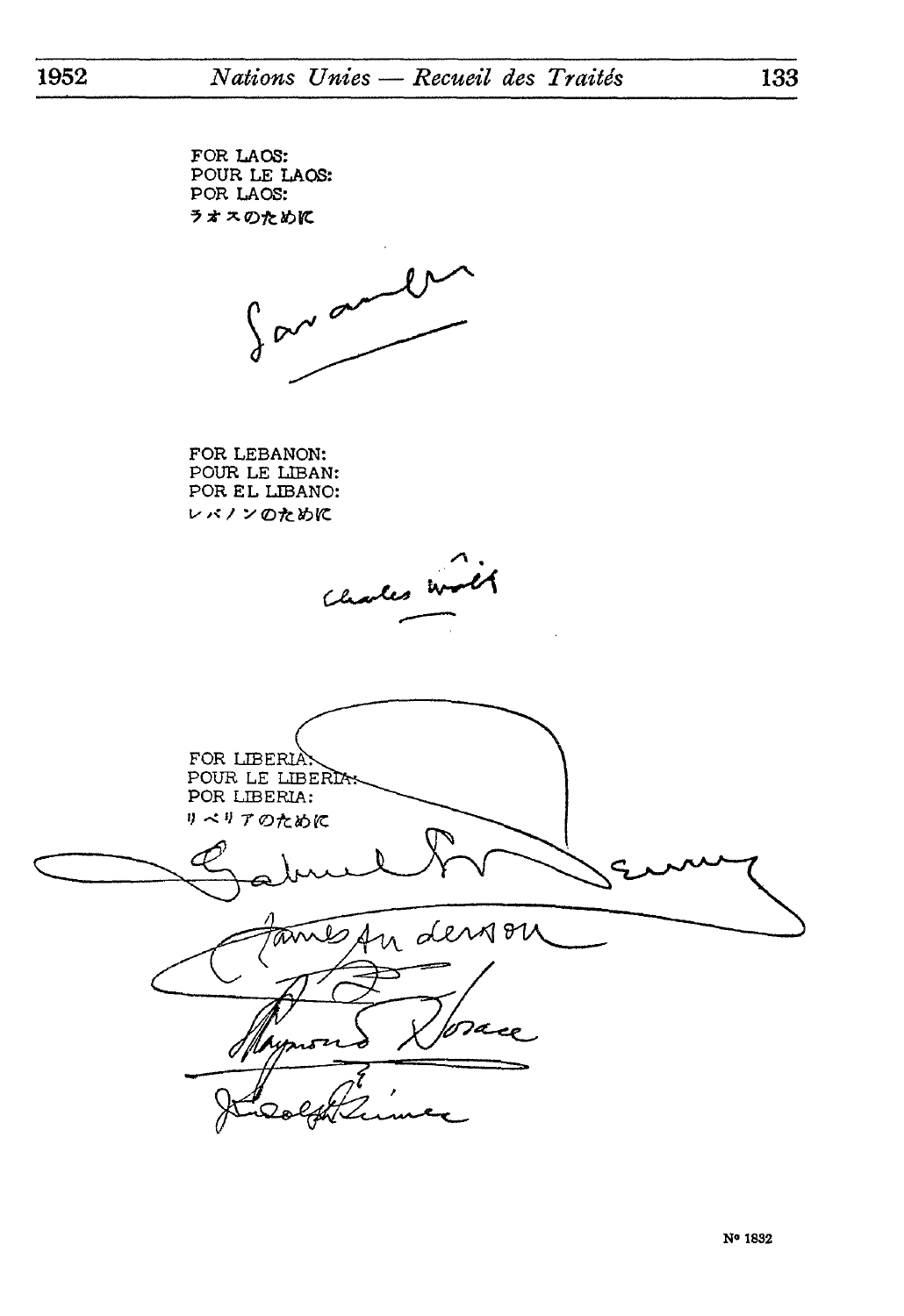FOR LAOS: POUR LE LAOS: POR LAOS: ラオスのために



FOR LEBANON: POUR LE LIBAN: POR EL LIBANO: レバノンのために



FOR LIBERIA POUR LE LIBERIA: POR LIBERIA: リベリアのために An derson ימד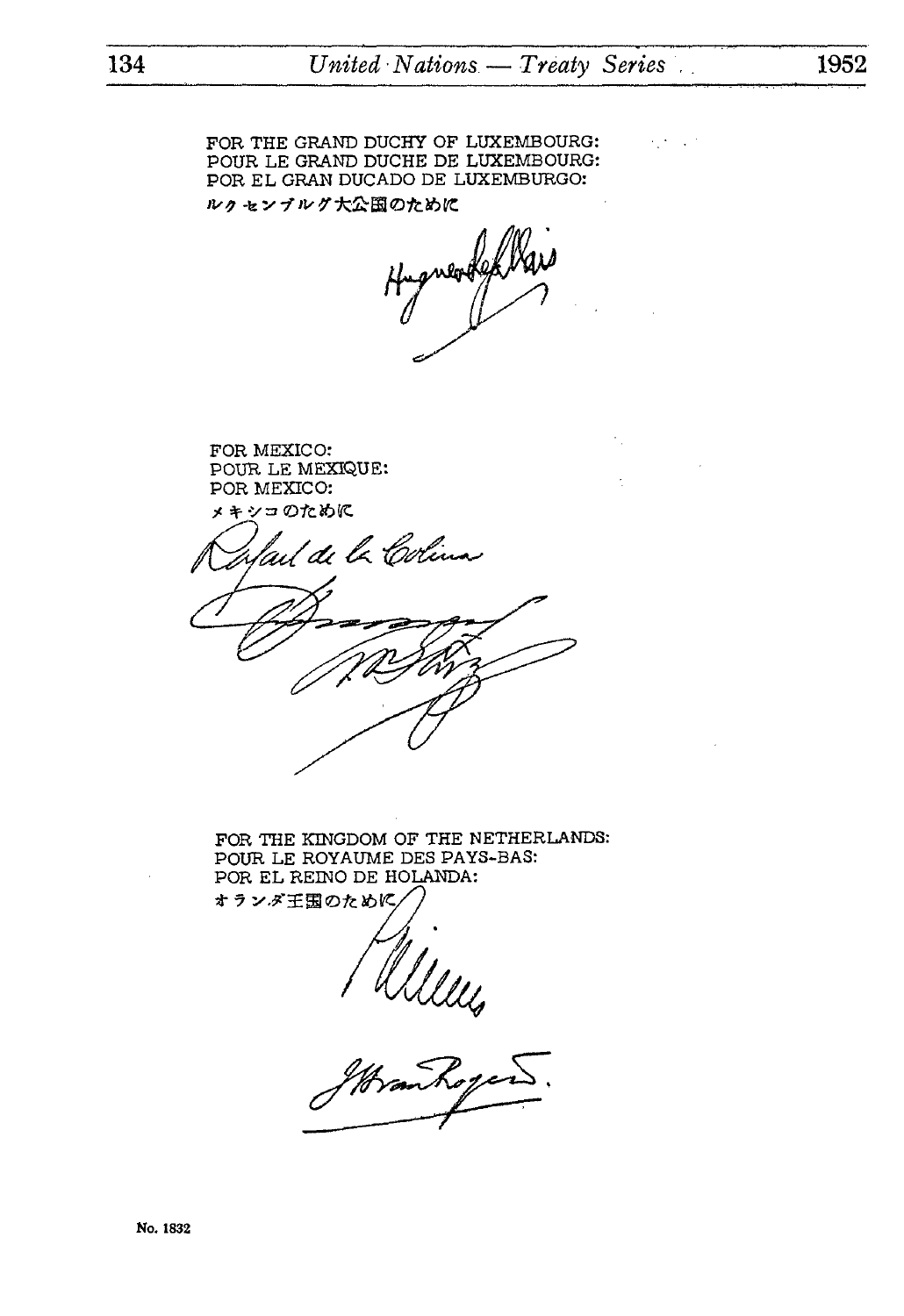FOR THE GRAND DUCHY OF LUXEMBOURG: POUR LE GRAND DUCHE DE LUXEMBOURG: FOR EL GRAN DUG ADO DE LUXEMBURGO: ルクセンブルグ大公園のために

neoche have

FOR MEXICO: POUR LE MEXIQUE: POR MEXICO: メキシコのために ail de la Colina

FOR THE KINGDOM OF THE NETHERLANDS: POUR LE ROYAUME DES PAYS-BAS: POR EL REINO DE HOLANDA: オランダ王国のために

/ Willy<br>Womkoger

and the pro-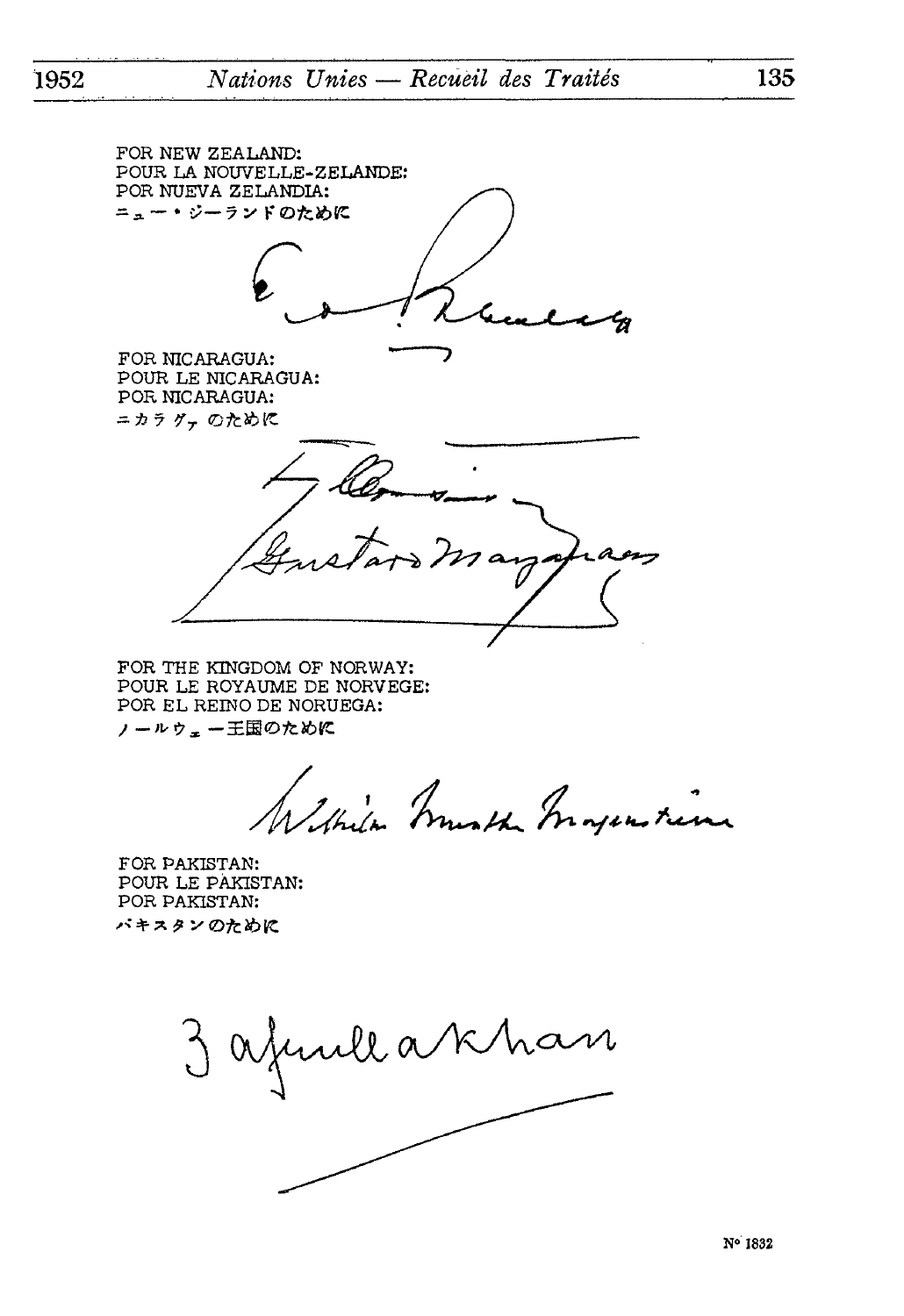FOR NEW ZEALAND: POUR LA NOUVELLE-ZELANDE POR NUEVA ZELANDIA:<br>ニュー・ジーランドのために FOR NICARAGUA: POUR LE NICARAGUA: POR NICARAGUA: ニカラグァ のために

FOR THE KINGDOM OF NORWAY: POUR LE ROYAUME DE NORVEGE: POR EL REINO DE NORUEGA:<br>ノールウェー王国のために

Withila Knock magentine

FOR PAKISTAN: POUR LE PAKISTAN: POR PAKISTAN: パキスタンのために

3 afende akhan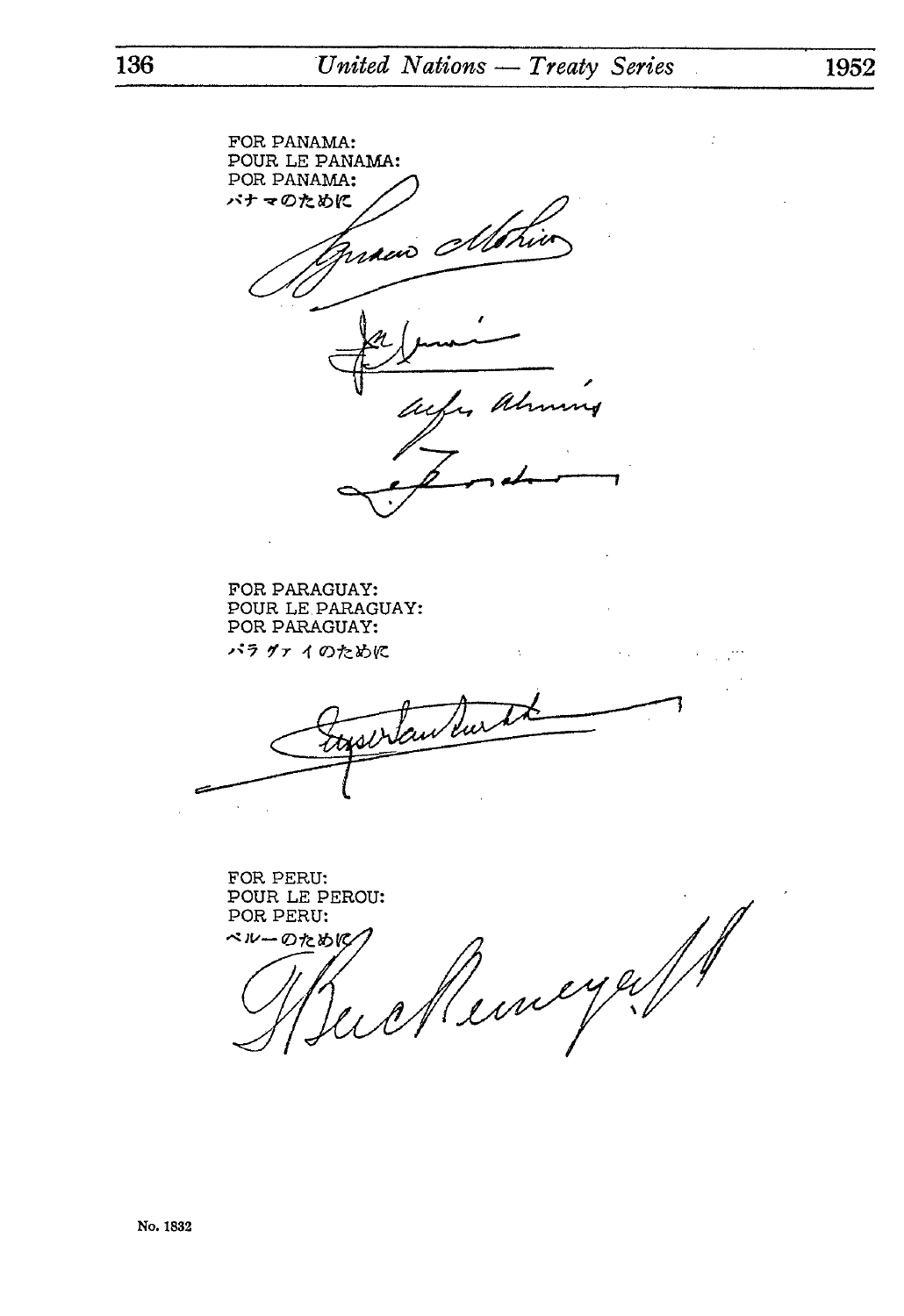FOR PANAMA: POUR LE PANAMA: POR PANAMA: バナマのために suo MI riv Ah FOR PARAGUAY: POUR LE PARAGUAY: POR PARAGUAY: パラグァイのために whaw his FOR PERU: POUR LE PEROU: Ruellemeyer/1 POR PERU: ベルーのために

ż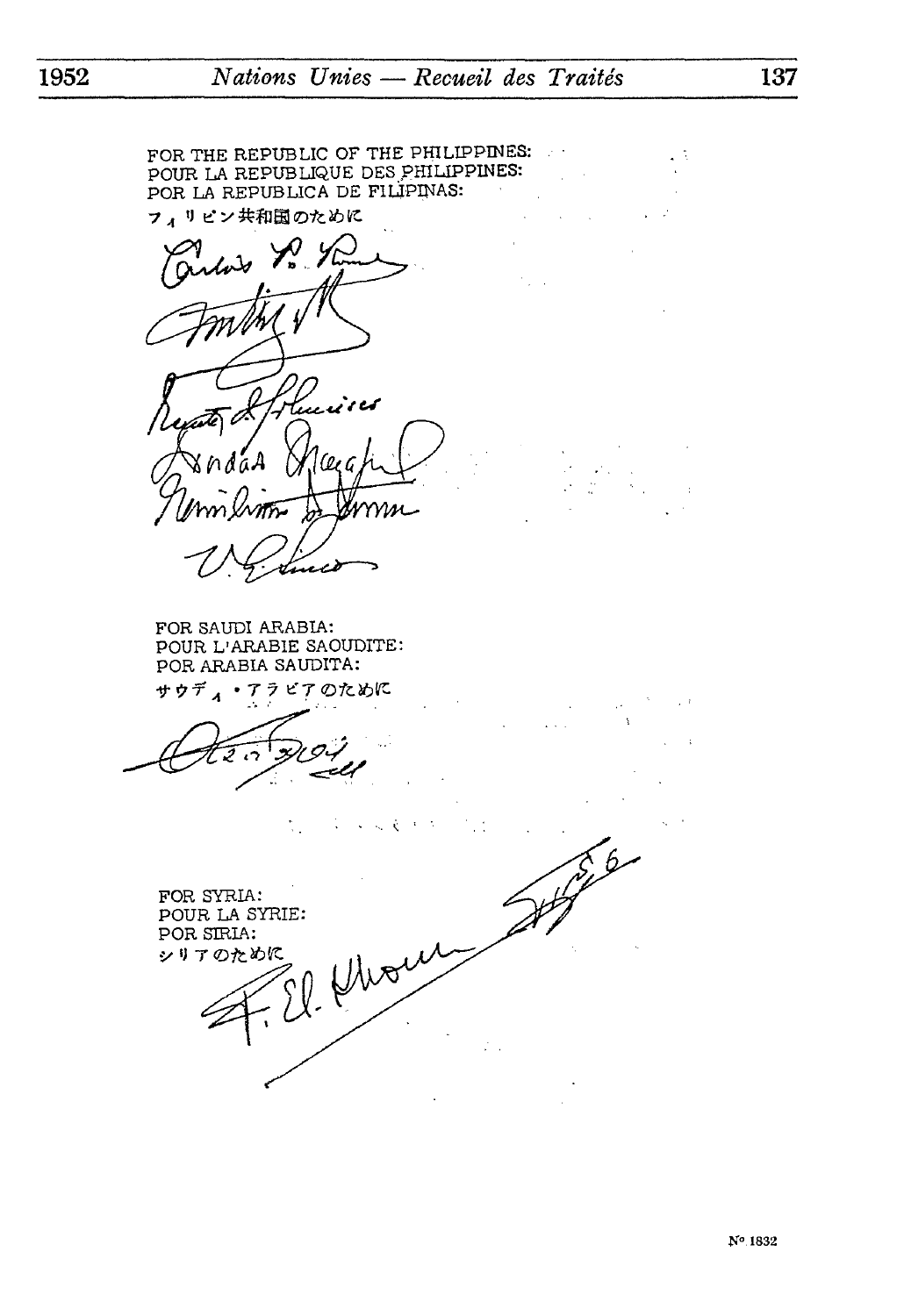FOR THE REPUBLIC OF THE PHILIPPINES:

POUR LA REPUBLIQUE DES PHILIPPINES: POR LA REPUBLICA DE FILIPINAS:<br>フィリピン共和国のために ,,,,,,, مرمد FOR SAUDI ARABIA: POUR L'ARABIE SAOUDITE: POR ARABIA SAUDITA: サウディ · 7 7 c 7 のために FOR SYRIA: POUR LA SYRIE: POR SIRIA:<br>シリアのために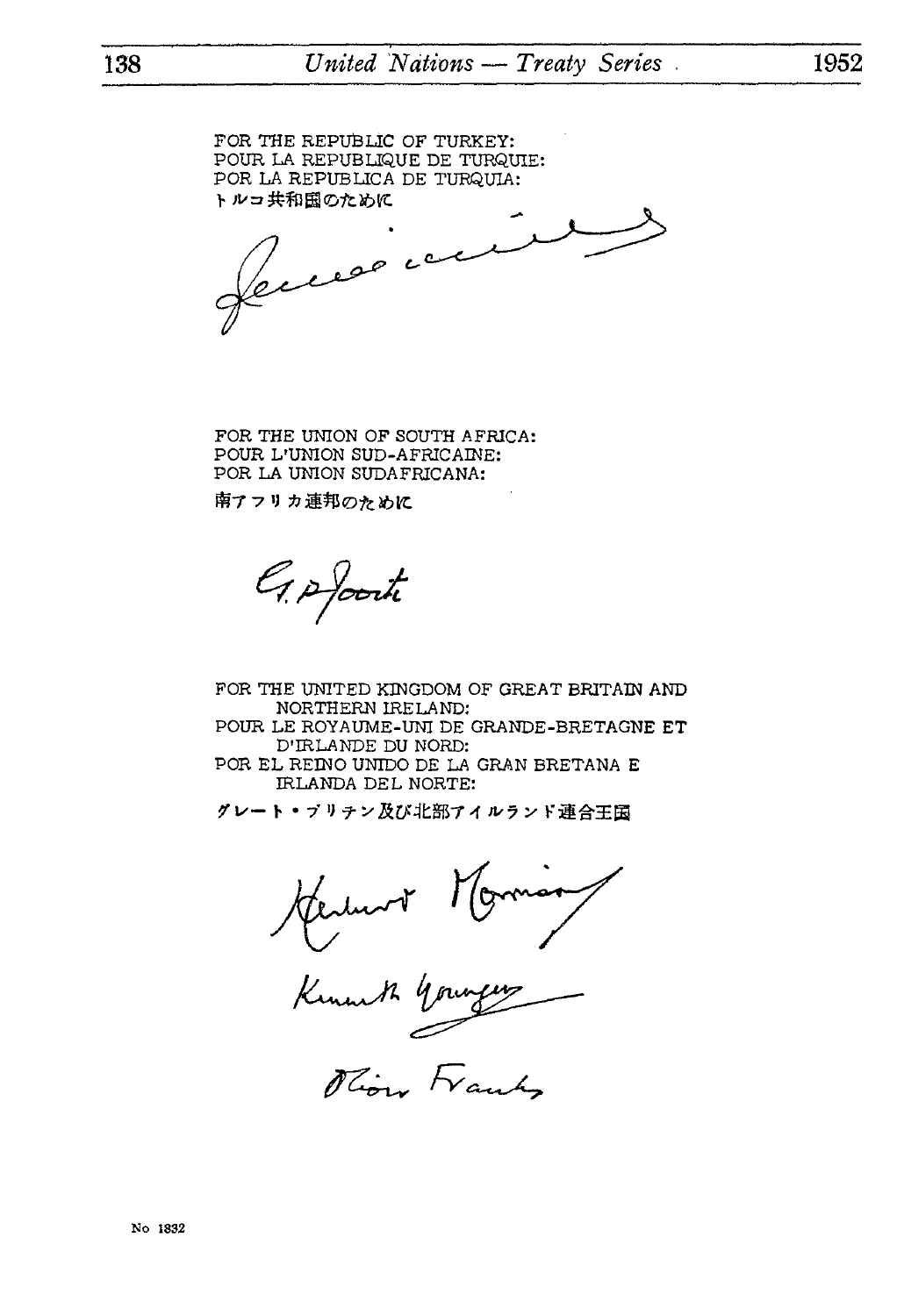FOR THE REPUBLIC OF TURKEY: POUR LA REPUBLIQUE DE TURQUIE: POR LA REPUBLICA DE TURQUIA: トルコ共和国のために feuiveau de

FOR THE UNION OF SOUTH AFRICA: POUR L'UNION SUD-AFRICAINE: POR LA UNION SUDAFRICANA:

南アフリカ連邦のために

Gpfoot

FOR THE UNITED KINGDOM OF GREAT BRITAIN AND NORTHERN IRELAND: POUR LE ROYAUME-UNI DE GRANDE-BRETAGNE ET D'IRLANDE DU NORD: POR EL REINO UNIDO DE LA GRAN BRETANA E IRLANDA DEL NORTE:

グレート・ブリテン及び北部アイルランド連合王国

Herbert F<br>Kuns R gou

Plior Franks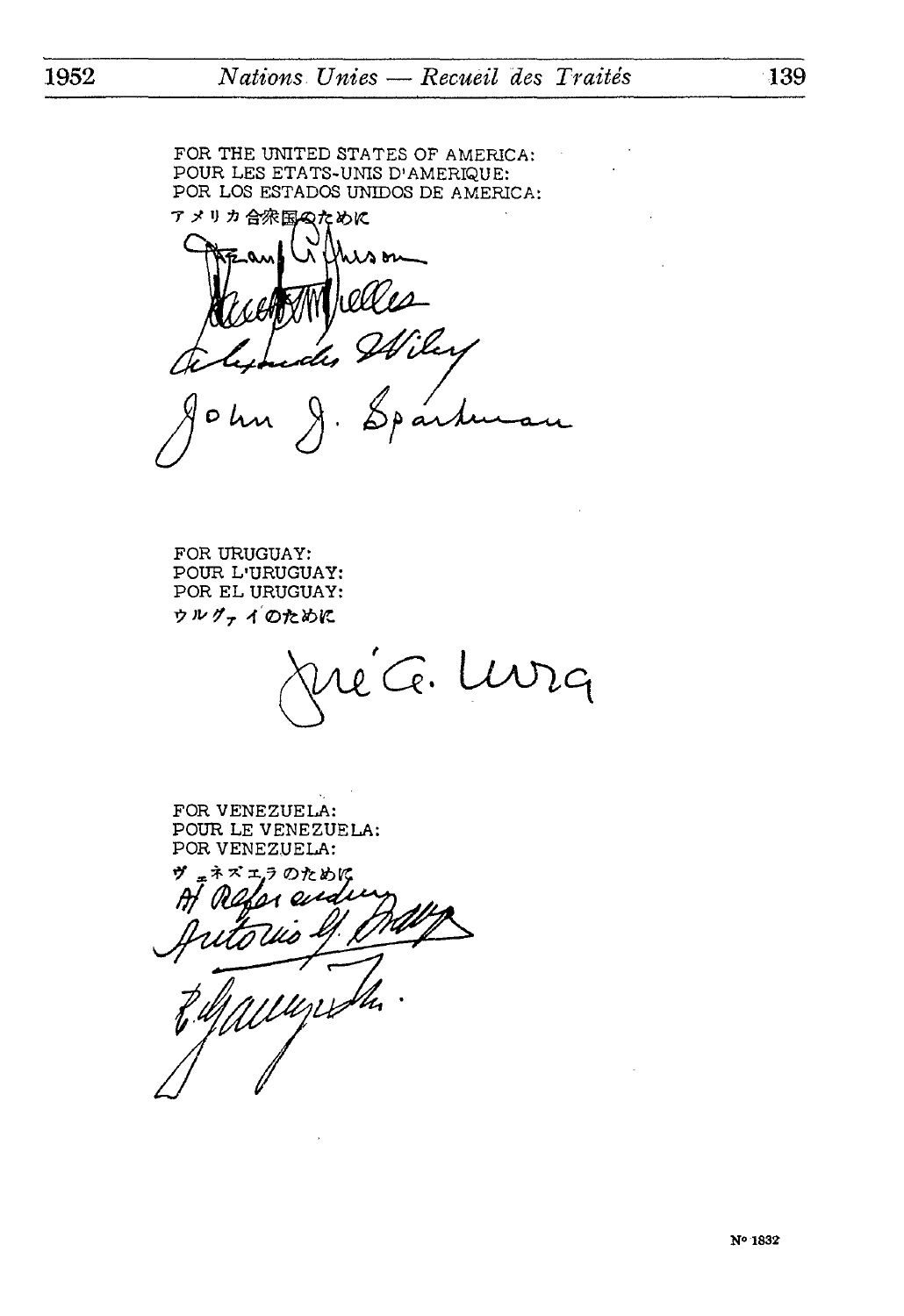$\sim$ 

FOR THE UNITED STATES OF AMERICA: POUR LES ETATS-UNIS D'AMERIQUE: POR LOS ESTADOS UNIDOS DE AMERICA:

アメリカ合衆国のために Wiley

FOR URUGUAY: POUR L'URUGUAY: POR EL URUGUAY: ウルクァイのために

G. Lurg

FOR VENEZUELA: POUR LE VENEZUELA: POR VENEZUELA:

y -ネズエラの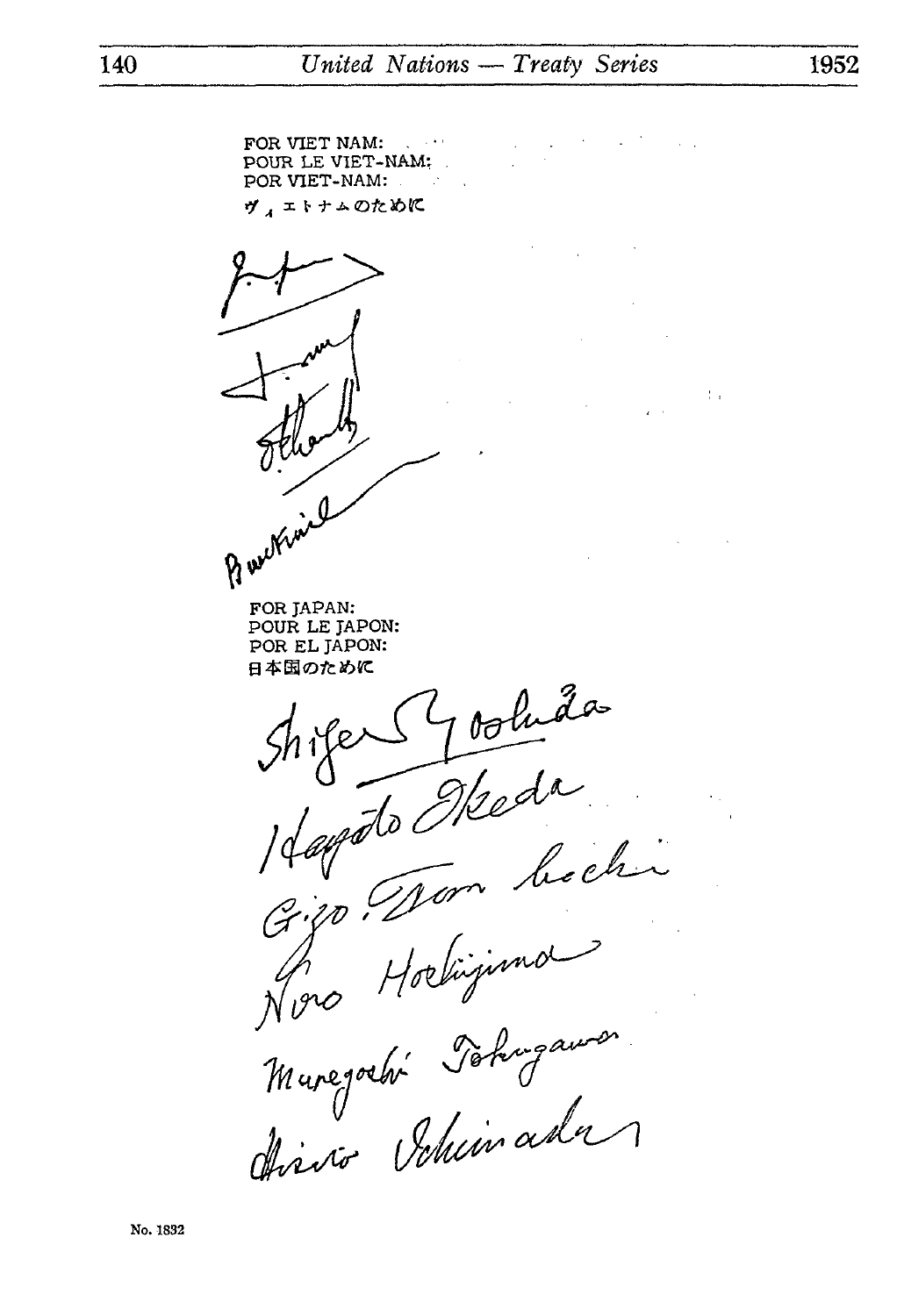FOR VIET NAM: POUR LE VIET-NAM: POR VIET-NAM: ヴィェトナムのために **Buer** FOR JAPAN: POUR LE JAPON: POR EL JAPON: Stife Goduda<br>Idapoto Heda<br>Gipo Nortiginal 日本国のために Murejorh' Tokugawa

÷,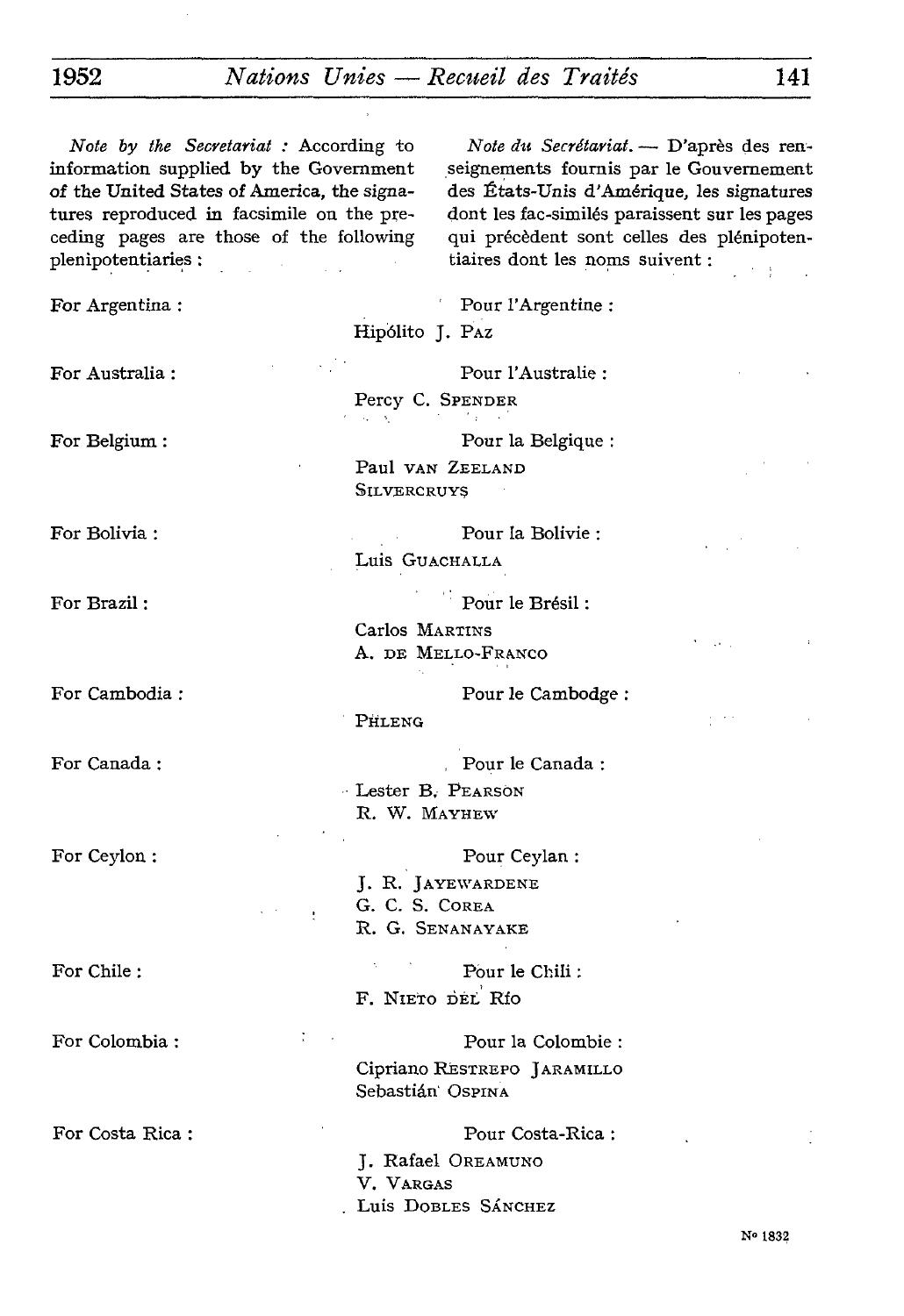#### **1952** *Nations Unies — Recueil des Traités* 141

For Colombia :

For Costa Rica :

*Note by the Secretariat :* According to *Note du Secrétariat.* — D'après des ren information supplied by the Government seignements fournis par le Gouvernement of the United States of America, the signa des États-Unis d'Amérique, les signatures tures reproduced in facsimile on the pre dont les fac-similés paraissent sur les pages ceding pages are those of the following qui précèdent sont celles des plénipoten plenipotentiaries : tiaires dont les noms suivent : For Argentina : ' Pour l'Argentine : Hipôlito J. PAZ For Australia : Pour l'Australie : Percy C. SPENDER For Belgium : Pour la Belgique : Paul VAN ZEELAND **SILVERCRUYS** For Bolivia : Pour la Bolivie : Luis GUACHALLA Pour le Brésil : For Brazil : Carlos MARTINS A. DE MELLO-FRANCO For Cambodia Pour le Cambodge PHLENG  $\sim$ For Canada : , Pour le Canada : Lester B. PEARSON R. W. MAYHEW Pour Ceylan : For Ceylon : J. R. JAYEWARDENE G. C. S. COREA R. G. SENANAYAKE Pour le Chili : For Chile : F. NIETO DEL Río

> Pour la Colombie : Cipriano RESTREPO JARAMILLO Sebastian OSPINA

Pour Costa-Rica : J. Rafaël OREAMUNO V. VARGAS **Luis DOBLES** SÂNCHEZ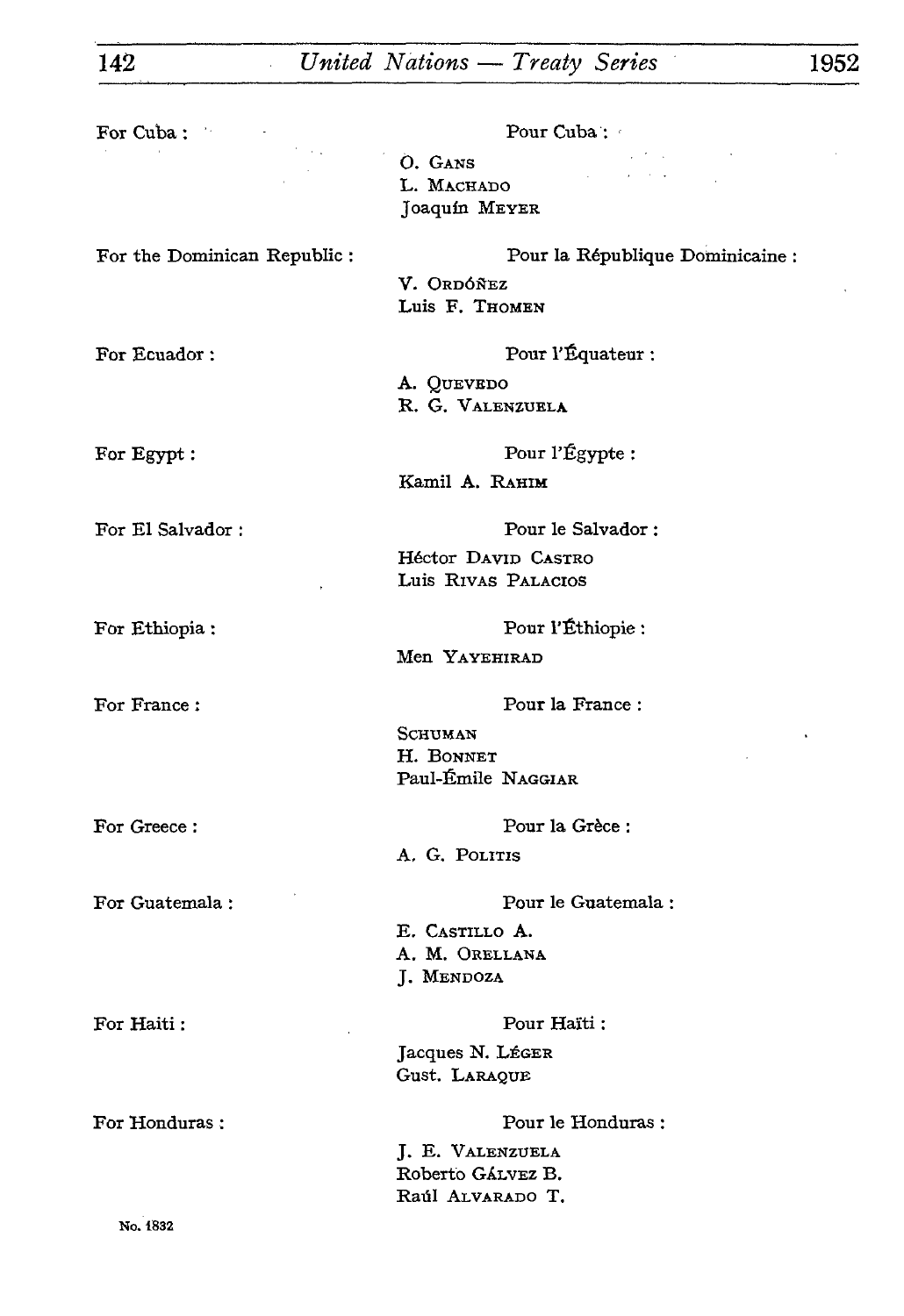For Cuba: For the Dominican Republic : For Ecuador : For Egypt : Pour Cuba : 0. GANS L. MACHADO Joaquin MEYER Pour la République Dominicaine : V. ORDÔNEZ Luis F. THOMEN Pour l'Équateur : A. QUEVEDO R. G. VALENZUELA Pour l'Egypte : Kamil A. RAHIM For El Salvador : For Ethiopia : Pour le Salvador : Hector DAVID CASTRO Luis RIVAS PALACIOS Pour l'Éthiopie : Men YAYEHIRAD For France : Pour la France : **SCHUMAN** H. BONNET Paul-Emile NAGGIAR For Greece : Pour la Grèce : A, G. POLITIS For Guatemala : For Haiti : For Honduras : Pour le Guatemala : E. CASTILLO A. A. M. ORELLANA J. MENDOZA Pour Haïti : Jacques N. LÉGER Gust. LARAQUE Pour le Honduras : J. E. VALENZUELA Roberto GÀLVEZ B. Raùl ALVARADO T.

**No. 1832**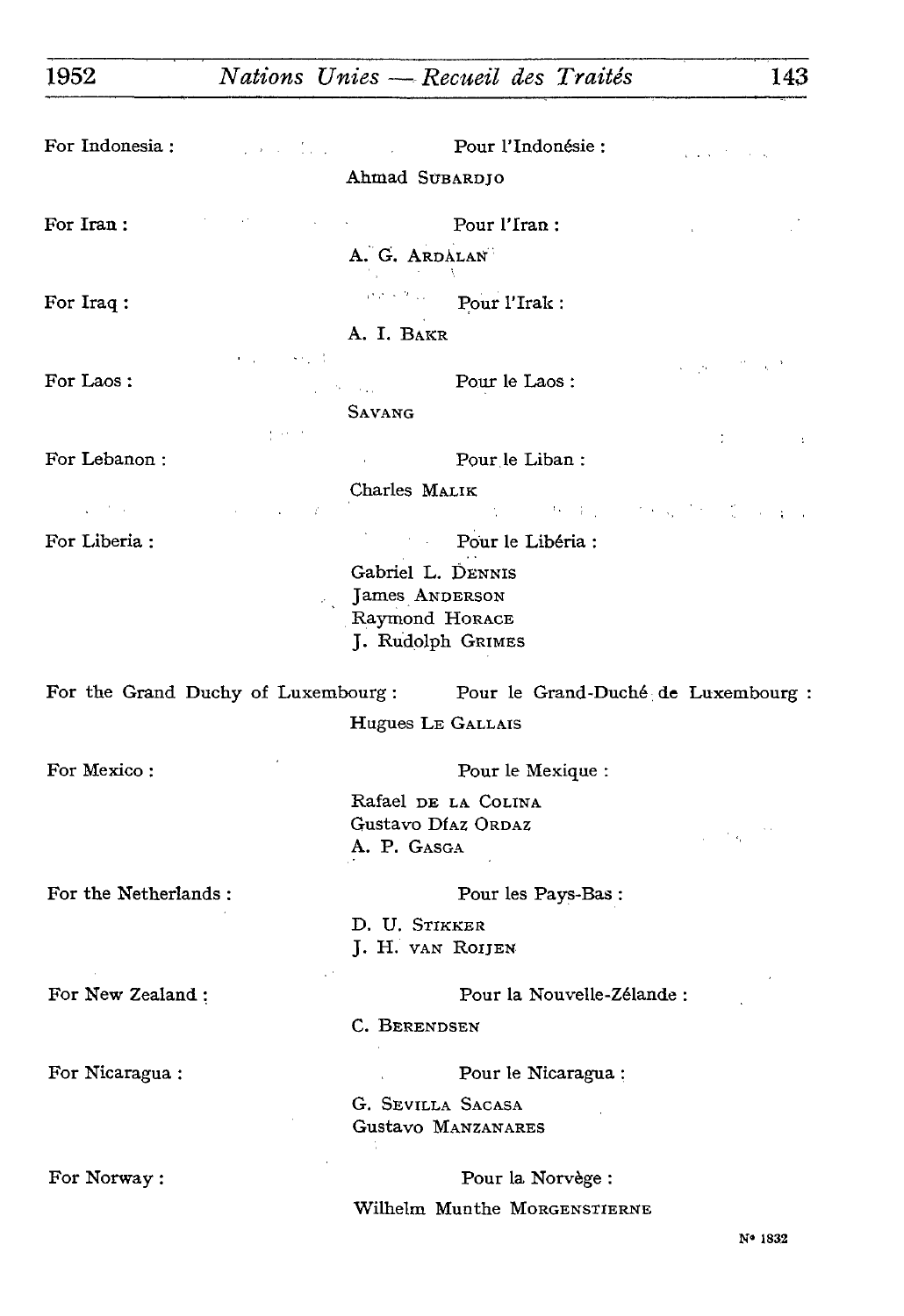| For Indonesia:              | Pour l'Indonésie:<br>Ahmad SUBARDJO                                                               |
|-----------------------------|---------------------------------------------------------------------------------------------------|
| For Iran:                   | Pour l'Iran :<br>A. G. ARDALAN                                                                    |
| For Iraq:                   | Pour l'Irak :<br>A. I. BAKR                                                                       |
| $\sim 10^{-1}$<br>For Laos: | Pour le Laos:<br>Victoria de<br><b>SAVANG</b>                                                     |
| For Lebanon:                | Pour le Liban :                                                                                   |
| For Liberia:                | Charles MALIK<br>かいしょうせいほうしゃ<br>Pour le Libéria :                                                 |
|                             | Gabriel L. DENNIS<br>James ANDERSON<br>Raymond HORACE<br>J. Rudolph GRIMES                        |
|                             | For the Grand Duchy of Luxembourg: Pour le Grand-Duché de Luxembourg:<br><b>Hugues LE GALLAIS</b> |
| For Mexico:                 | Pour le Mexique :<br>Rafael DE LA COLINA<br>Gustavo Díaz Ordaz<br>A. P. GASGA                     |
| For the Netherlands:        | Pour les Pays-Bas :<br>D. U. STIKKER<br>J. H. VAN ROIJEN                                          |
| For New Zealand:            | Pour la Nouvelle-Zélande :<br>C. BERENDSEN                                                        |
| For Nicaragua:              | Pour le Nicaragua :<br>G. SEVILLA SACASA<br>Gustavo MANZANARES                                    |
| For Norway:                 | Pour la Norvège :<br>Wilhelm Munthe MORGENSTIERNE<br>N° 1832                                      |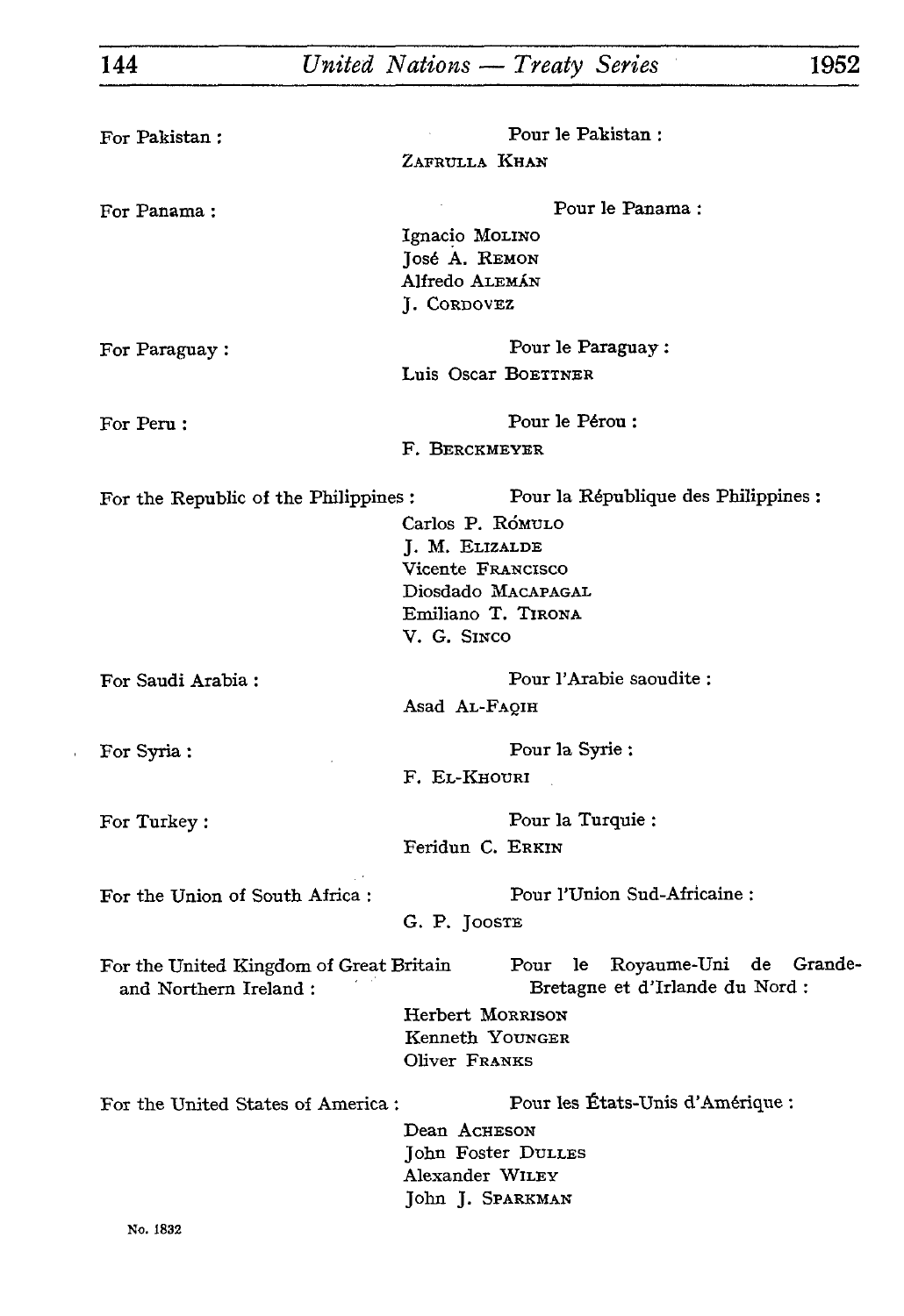| For Pakistan :                                                    |                                                                                              | Pour le Pakistan :                                                               |
|-------------------------------------------------------------------|----------------------------------------------------------------------------------------------|----------------------------------------------------------------------------------|
|                                                                   | ZAFRULLA KHAN                                                                                |                                                                                  |
| For Panama:                                                       | Ignacio Molino<br>José A. REMON<br>Alfredo ALEMÁN<br>J. CORDOVEZ                             | Pour le Panama :                                                                 |
| For Paraguay :                                                    |                                                                                              | Pour le Paraguay:<br>Luis Oscar BOETTNER                                         |
| For Peru:                                                         | F. BERCKMEYER                                                                                | Pour le Pérou :                                                                  |
| For the Republic of the Philippines :                             | Carlos P. Rómulo<br>J. M. ELIZALDE<br>Vicente FRANCISCO<br>Emiliano T. TIRONA<br>V. G. SINCO | Pour la République des Philippines :<br>Diosdado MACAPAGAL                       |
| For Saudi Arabia:                                                 | Asad AL-FAQIH                                                                                | Pour l'Arabie saoudite :                                                         |
| For Syria :                                                       | F. EL-KHOURI                                                                                 | Pour la Syrie :                                                                  |
| For Turkey :                                                      | Feridun C. ERKIN                                                                             | Pour la Turquie:                                                                 |
| For the Union of South Africa:                                    | G. P. JOOSTE                                                                                 | Pour l'Union Sud-Africaine :                                                     |
| For the United Kingdom of Great Britain<br>and Northern Ireland : | Herbert MORRISON<br>Kenneth YOUNGER<br>Oliver FRANKS                                         | Royaume-Uni de Grande-<br>le<br>$\bold{Pour}$<br>Bretagne et d'Irlande du Nord : |
| For the United States of America:                                 | Dean ACHESON<br>Alexander WILEY<br>John J. SPARKMAN                                          | Pour les États-Unis d'Amérique :<br>John Foster DULLES                           |

 $\bar{.}$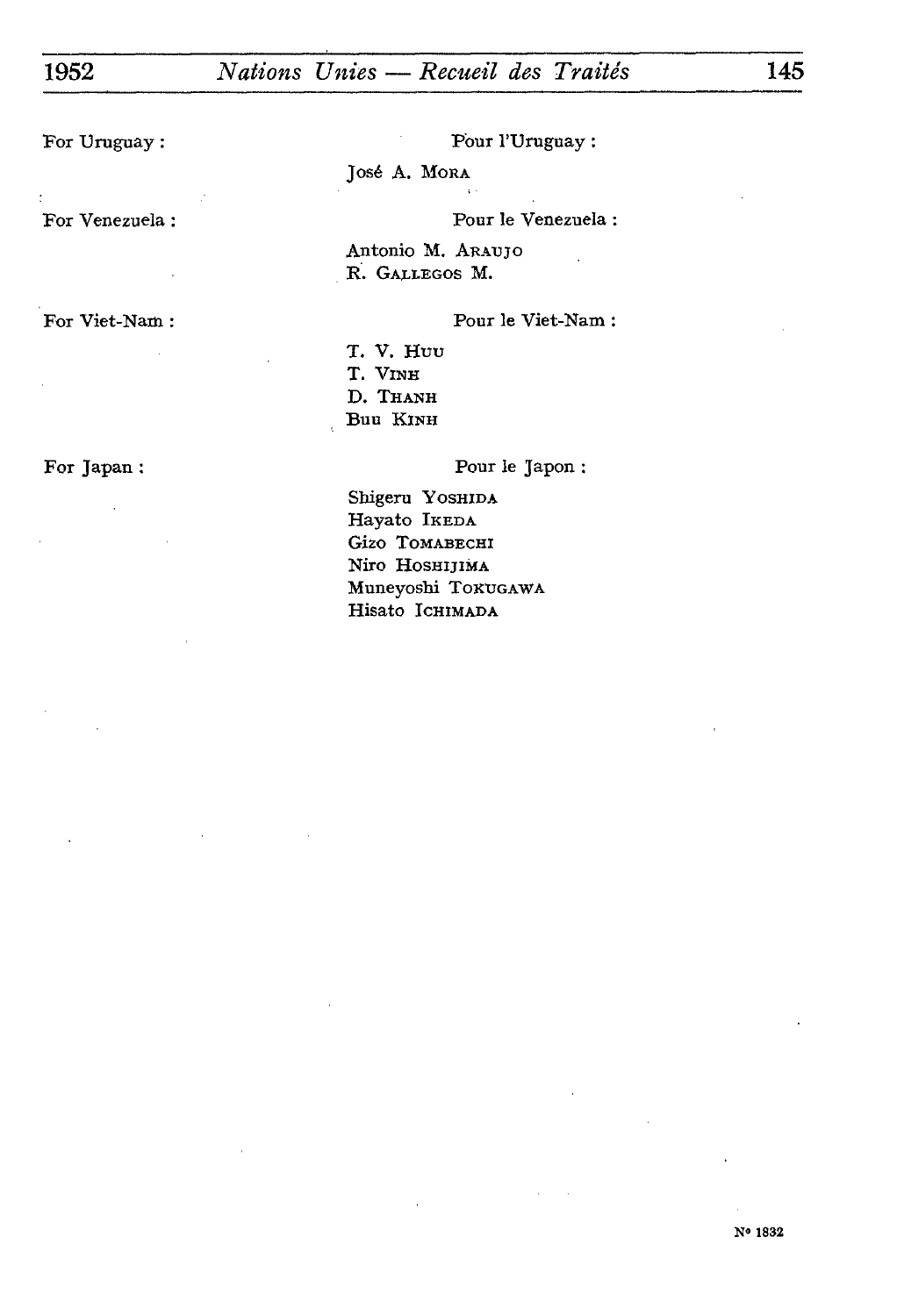ł.

## Nations Unies - Recueil des Traités

For Uruguay:

For Venezuela :

For Viet-Nam:

Pour l'Uruguay:

José A. MORA

#### Pour le Venezuela :

Antonio M. ARAUJO R. GALLEGOS M.

#### Pour le Viet-Nam :

T. V. HUU T. VINH D. THANH Buu KINH

For Japan:

Pour le Japon:

Shigeru YOSHIDA Hayato IKEDA Gizo TOMABECHI Niro Hoshijima Muneyoshi TOKUGAWA Hisato ICHIMADA

Nº 1832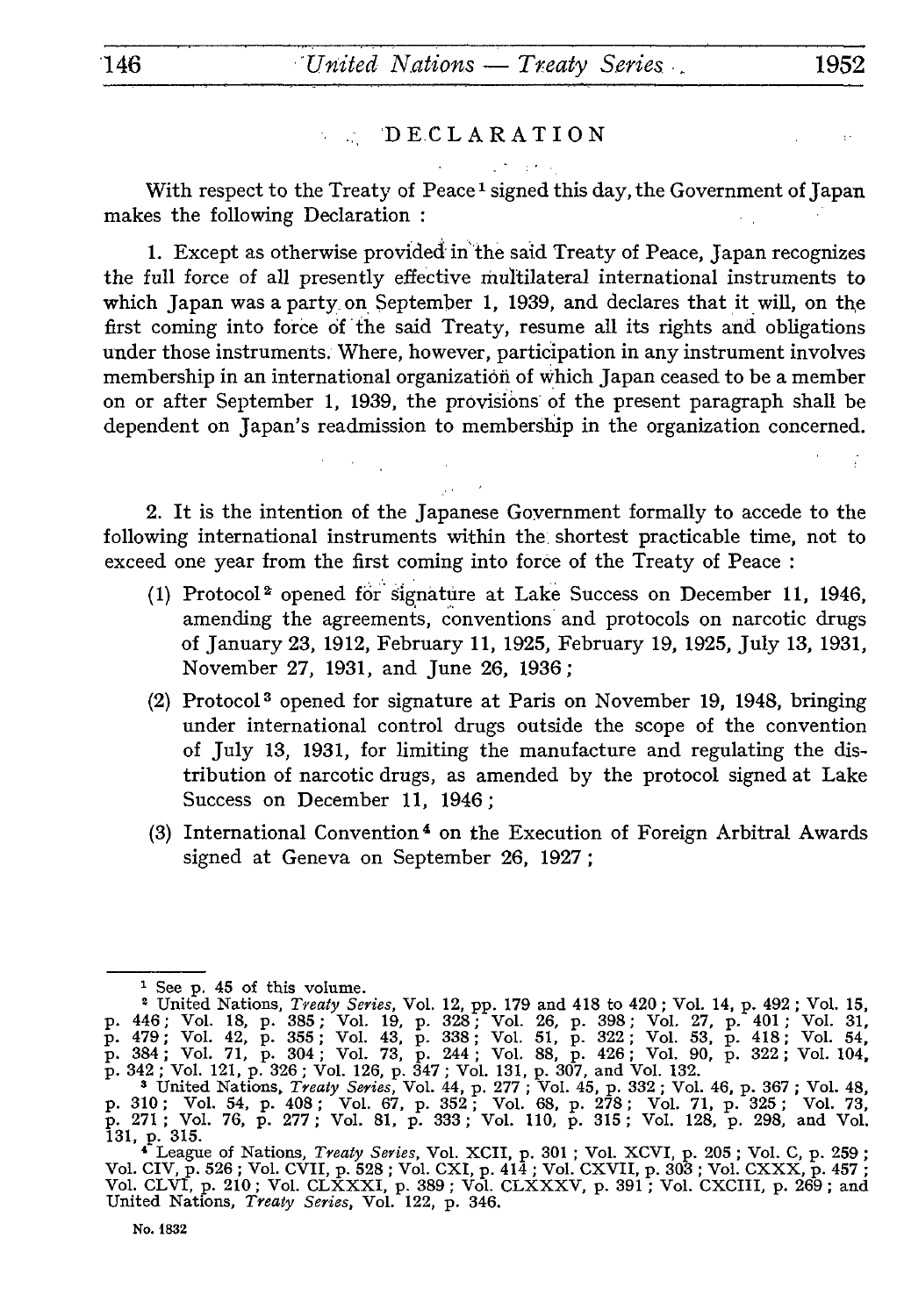#### .DECLARATION

With respect to the Treaty of Peace *l* signed this day, the Government of Japan makes the following Declaration : .

1. Except as otherwise provided in the said Treaty of Peace, Japan recognizes the full force of all presently effective multilateral international instruments to which Japan was a party on September 1, 1939, and declares that it will, on the first coming into force of the said Treaty, resume all its rights and obligations under those instruments. Where, however, participation in any instrument involves membership in an international organization of which Japan ceased to be a member on or after September 1, 1939, the provisions of the present paragraph shall be dependent on Japan's readmission to membership in the organization concerned.

2. It is the intention of the Japanese Government formally to accede to the following international instruments within the shortest practicable time, not to exceed one year from the first coming into force of the Treaty of Peace :

- (1) Protocol<sup>2</sup> opened for signature at Lake Success on December 11, 1946, amending the agreements, conventions and protocols on narcotic drugs of January 23, 1912, February 11, 1925, February 19, 1925, July 13, 1931, November 27, 1931, and June 26, 1936 ;
- (2) Protocol 3 opened for signature at Paris on November 19, 1948, bringing under international control drugs outside the scope of the convention of July 13, 1931, for limiting the manufacture and regulating the dis tribution of narcotic drugs, as amended by the protocol signed at Lake Success on December 11, 1946 ;
- (3) International Convention 4 on the Execution of Foreign Arbitral Awards signed at Geneva on September 26, 1927 ;

<sup>1</sup> See p. 45 of this volume.

<sup>&</sup>lt;sup>2</sup> United Nations, *Treaty Series*, Vol. 12, pp. 179 and 418 to 420; Vol. 14, p. 492; Vol. 15, p. 446; Vol. 18, p. 385; Vol. 19, p. 328; Vol. 26, p. 398; Vol. 27, p. 401; Vol. 31, p. 479; Vol. 42, p. 355; Vol. 43, p. 338; p. 446; Vol. 18, p. 385; Vol. 19, p. 328; Vol. 26, p. 398; Vol. 27, p. 401; Vol. 31, p. 479; Vol. 42, p. 355; Vol. 43, p. 338; Vol. 51, p. 322; Vol. 53, p. 418; Vol. 54, p. 384; Vol. 71, p. 304; Vol. 73, p. 244; Vol. 88, p

<sup>131,</sup> p. 315.<br>
<sup>4</sup> League of Nations, *Treaty Series*, Vol. XCII, p. 301; Vol. XCVI, p. 205; Vol. C, p. 259;<br>
Vol. CLVI, p. 526; Vol. CVII, p. 528; Vol. CXI, p. 414; Vol. CXVII, p. 303; Vol. CXXX, p. 457;<br>
Vol. CLVI, p. 210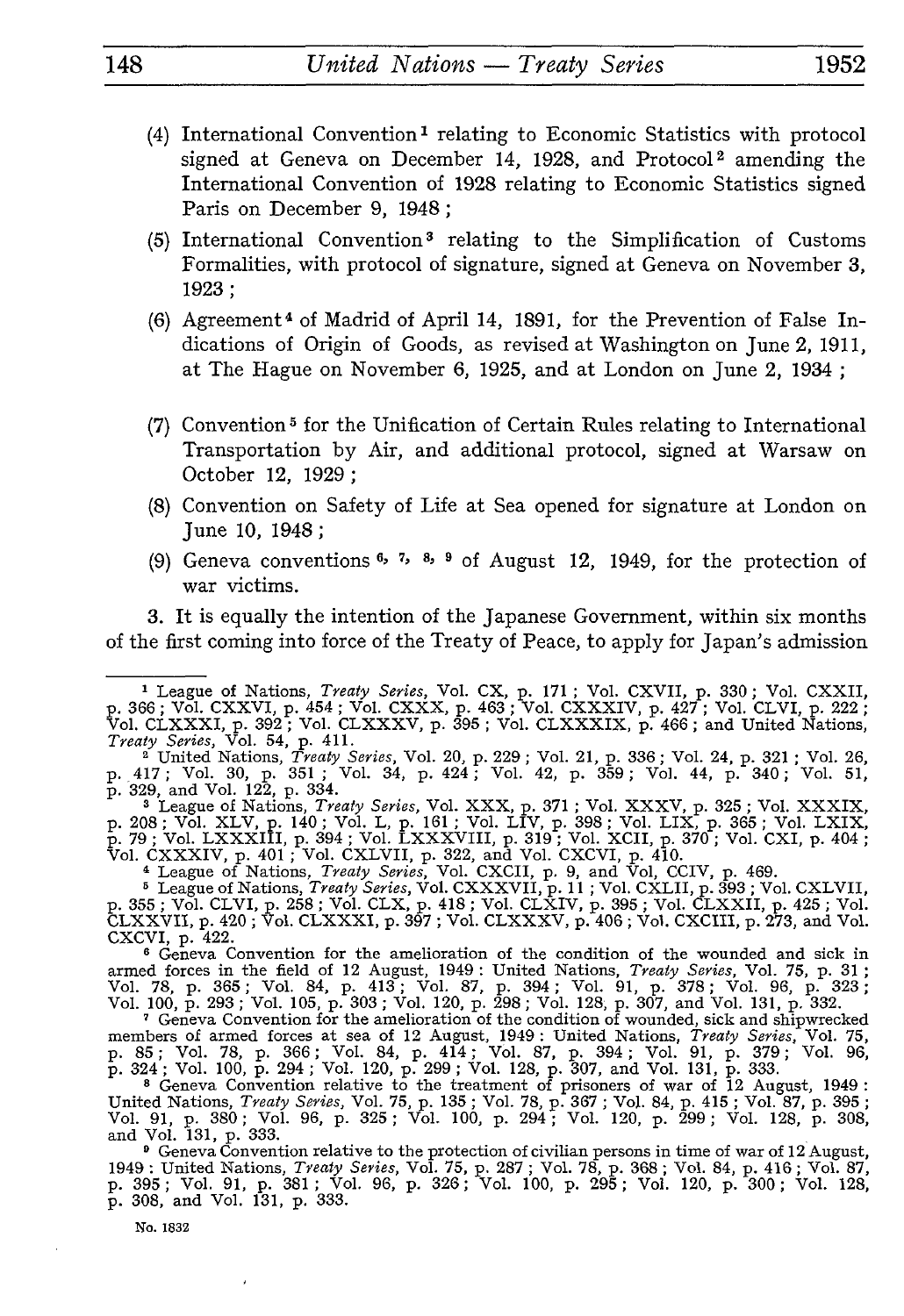- (4) International Convention 1 relating to Economic Statistics with protocol signed at Geneva on December 14, 1928, and Protocol<sup>2</sup> amending the International Convention of 1928 relating to Economic Statistics signed Paris on December 9, 1948 ;
- (5) International Convention 3 relating to the Simplification of Customs Formalities, with protocol of signature, signed at Geneva on November 3, 1923 ;
- (6) Agreement<sup>4</sup> of Madrid of April 14, 1891, for the Prevention of False Indications of Origin of Goods, as revised at Washington on June 2, 1911, at The Hague on November 6, 1925, and at London on June 2, 1934 ;
- (7) Convention *5* for the Unification of Certain Rules relating to International Transportation by Air, and additional protocol, signed at Warsaw on October 12, 1929;
- (8) Convention on Safety of Life at Sea opened for signature at London on June 10, 1948 ;
- (9) Geneva conventions 6> 7> *8>* 9 of August 12, 1949, for the protection of war victims.

3. It is equally the intention of the Japanese Government, within six months of the first coming into force of the Treaty of Peace, to apply for Japan's admission

<sup>1</sup> League of Nations, *Treaty Series*, Vol. CX, p. 171; Vol. CXVII, p. 330; Vol. CXXII, p. 392; Vol. CXXXX, p. 463; Vol. CXXXX, p. 466; and United Nations, Treaty Series, Vol. CLXXXX, p. 468; Vol. CLXXXXIX, p. 466; and U

6 Geneva Convention for the amelioration of the condition of the wounded and sick in

armed forces in the field of 12 August, 1949 : United Nations, *Treaty Series*, Vol. 75, p. 31;<br>Vol. 78, p. 365; Vol. 84, p. 413; Vol. 87, p. 394; Vol. 91, p. 378; Vol. 96, p. 323;<br>Vol. 100, p. 293; Vol. 105, p. 303; Vol.

7 Geneva Convention for the amelioration of the condition of wounded, sick and shipwrecked members of armed forces at sea of 12 August, 1949: United Nations, *Treaty Series*, Vol. 75, p. 85; Vol. 78, p. 366; Vol. 84, p. 414; Vol. 87, p. 394; Vol. 91, p. 379; Vol. 96, p. 324; Vol. 100, p. 294; Vol. 120, p. 299; V

United Nations, *Treaty Series*, Vol. 75, p. 135; Vol. 78, p. 367; Vol. 84, p. 415; Vol. 87, p. 395; Vol. 91, p. 380; Vol. 96, p. 325; Vol. 100, p. 294; Vol. 120, p. 299; Vol. 128, p. 308, and Vol. 131, p. 333.<br>
and Vol. 1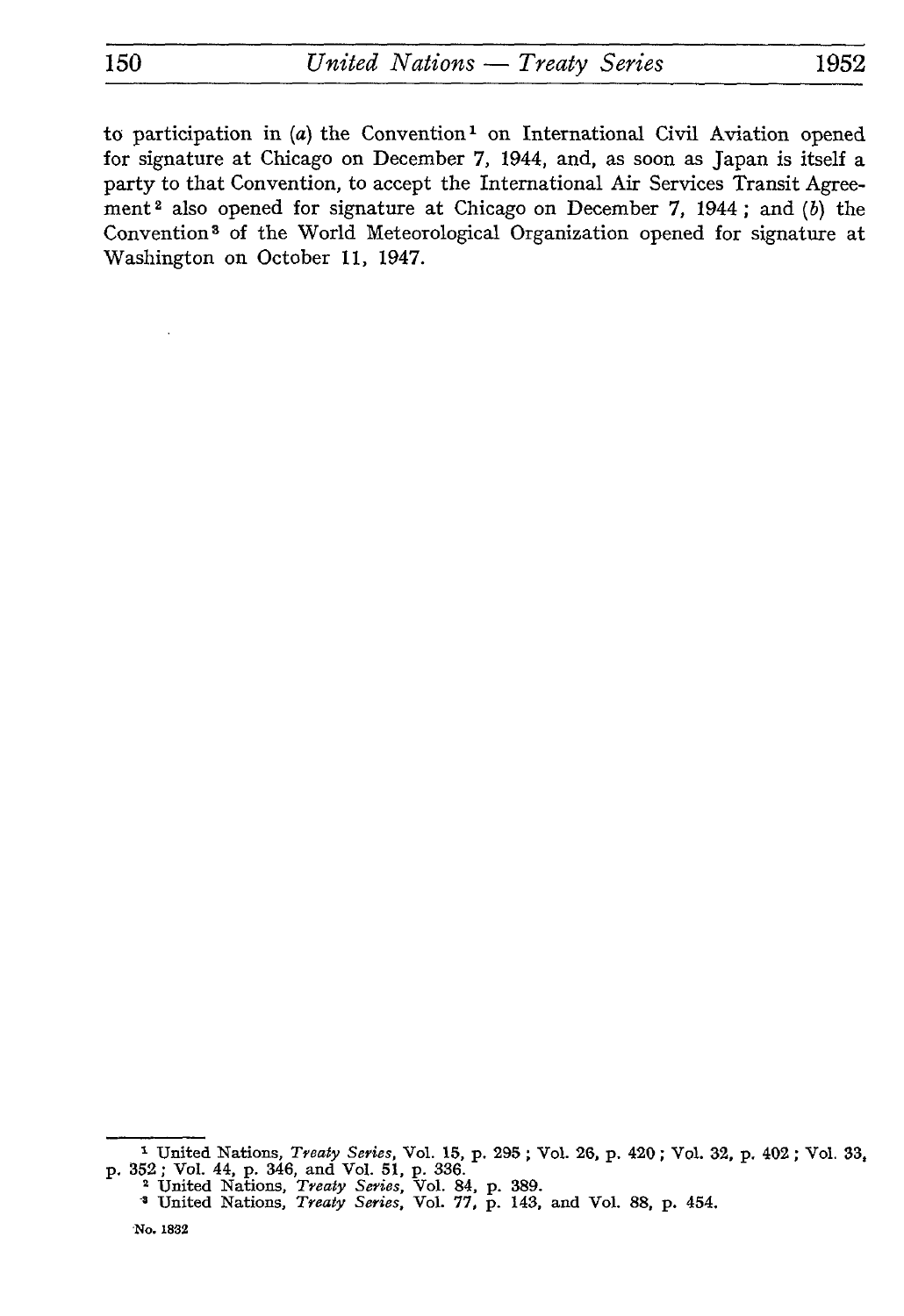to participation in (a) the Convention<sup>1</sup> on International Civil Aviation opened for signature at Chicago on December 7, 1944, and, as soon as Japan is itself a party to that Convention, to accept the International Air Services Transit Agree ment<sup>2</sup> also opened for signature at Chicago on December 7, 1944; and *(b)* the Convention 3 of the World Meteorological Organization opened for signature at Washington on October 11, 1947.

<sup>&</sup>lt;sup>1</sup> United Nations, *Treaty Series*, Vol. 15, p. 295; Vol. 26, p. 420; Vol. 32, p. 402; Vol. 33, p. 352; Vol. 44, p. 346, and Vol. 51, p. 336.<br><sup>2</sup> United Nations, *Treaty Series*, Vol. 84, p. 389.<br><sup>3</sup> United Nations, *Trea*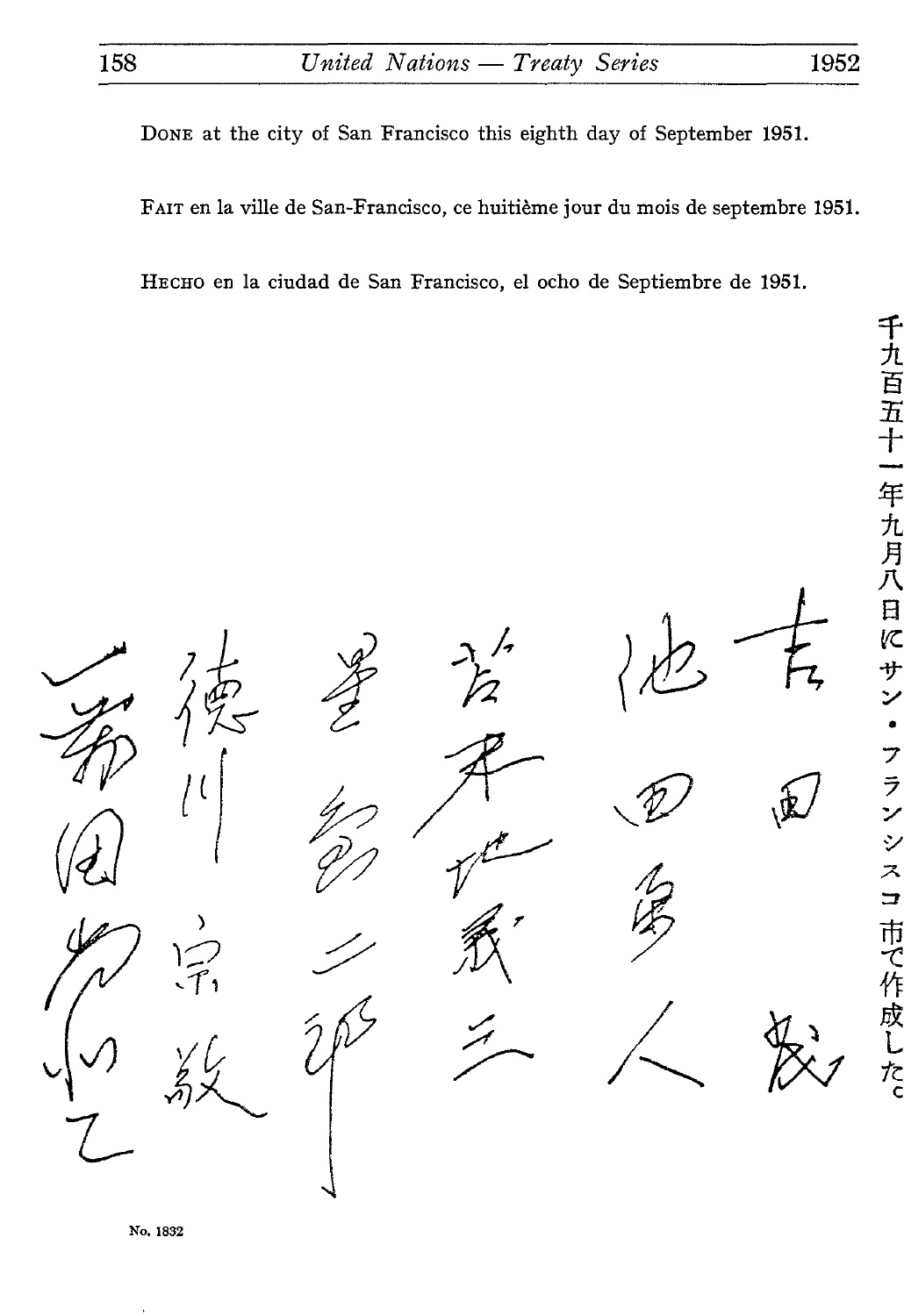DONE at the city of San Francisco this eighth day of September 1951.

FAIT en la ville de San-Francisco, ce huitième jour du mois de septembre 1951.

HECHO en la ciudad de San Francisco, el ocho de Septiembre de 1951.



フランシ

 $\overline{\mathcal{Z}}$  $\overline{a}$ 

た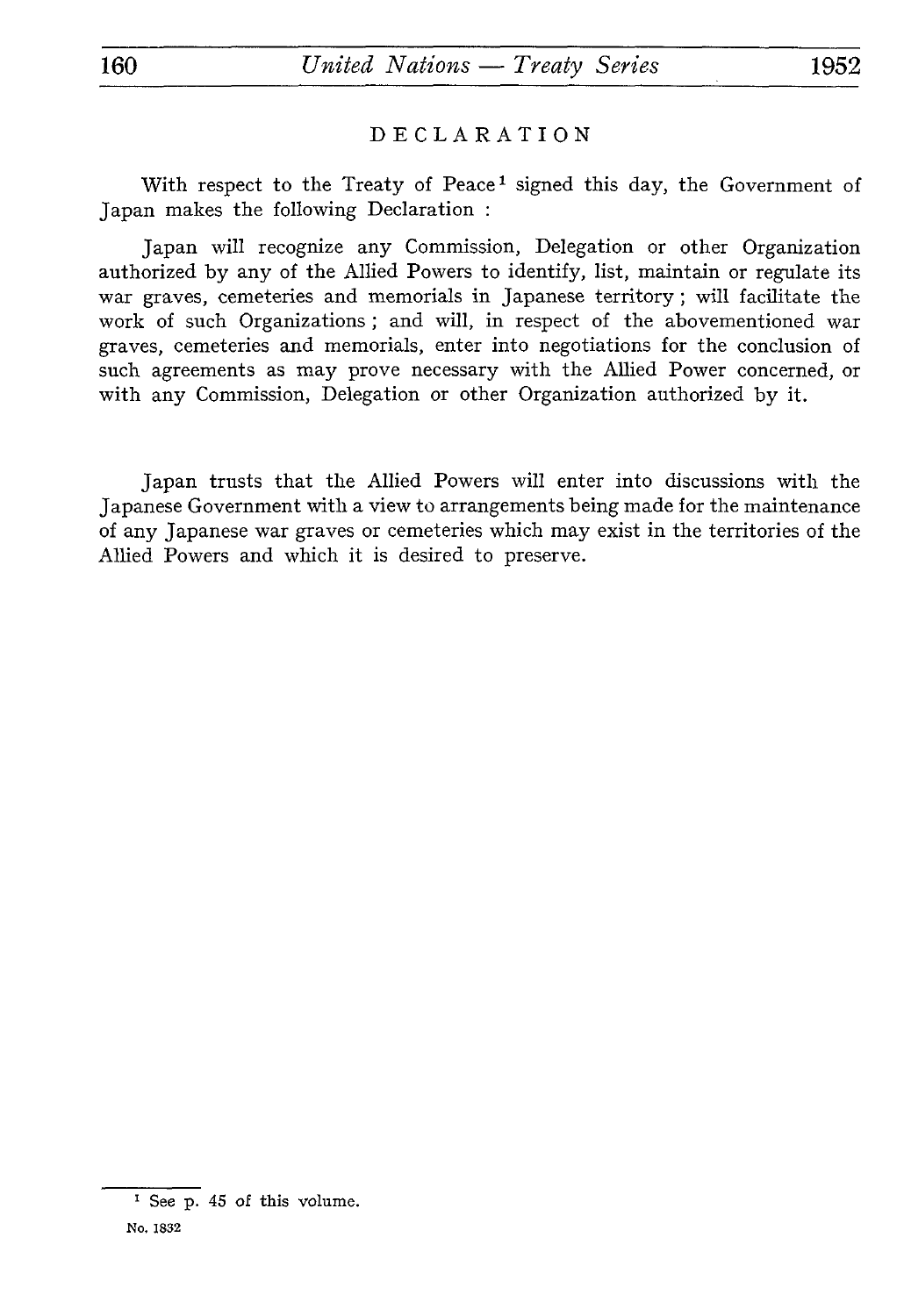#### DECLARATION

With respect to the Treaty of Peace<sup>1</sup> signed this day, the Government of Japan makes the following Declaration :

Japan will recognize any Commission, Delegation or other Organization authorized by any of the Allied Powers to identify, list, maintain or regulate its war graves, cemeteries and memorials in Japanese territory ; will facilitate the work of such Organizations ; and will, in respect of the abovementioned war graves, cemeteries and memorials, enter into negotiations for the conclusion of such agreements as may prove necessary with the Allied Power concerned, or with any Commission, Delegation or other Organization authorized by it.

Japan trusts that the Allied Powers will enter into discussions with the Japanese Government with a view to arrangements being made for the maintenance of any Japanese war graves or cemeteries which may exist in the territories of the Allied Powers and which it is desired to preserve.

<sup>1</sup> See p. 45 of this volume.